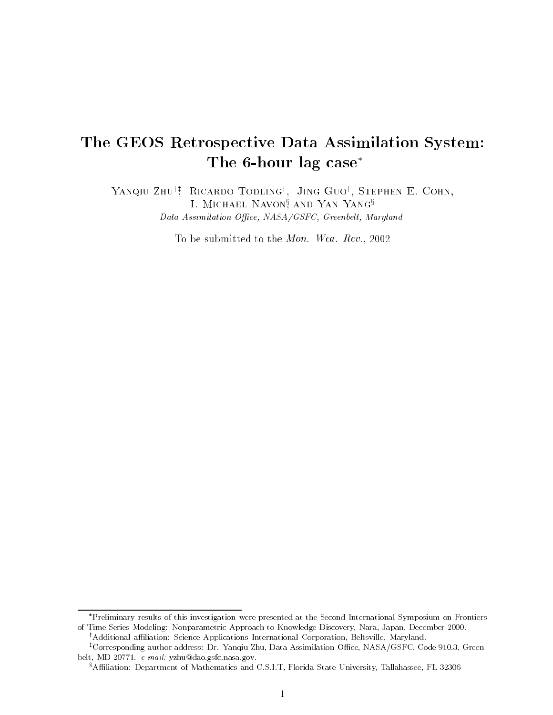# The GEOS Retrospective Data Assimilation System: The 6-hour lag case

Yanqiu Zhuyz , Ricardo Todlingy , Jing Guoy , Stephen E. Cohn, I. MICHAEL INAVON, AND IAN IANG<sup>3</sup> Data Assimilation Office, NASA/GSFC, Greenbelt, Maryland

To be submitted to the Mon. Wea. Rev., 2002

Preliminary results of this investigation were presented at the Second International Symposium on Frontiers of Time Series Modeling: Nonparametric Approach to Knowledge Discovery, Nara, Japan, December 2000. <sup>†</sup>Additional affiliation: Science Applications International Corporation, Beltsville, Maryland.

<sup>&</sup>lt;sup>‡</sup>Corresponding author address: Dr. Yanqiu Zhu, Data Assimilation Office, NASA/GSFC, Code 910.3, Greenbelt, MD 20771. e-mail: yzhu@dao.gsfc.nasa.gov.

<sup>&</sup>lt;sup>§</sup>Affiliation: Department of Mathematics and C.S.I.T, Florida State University, Tallahassee, FL 32306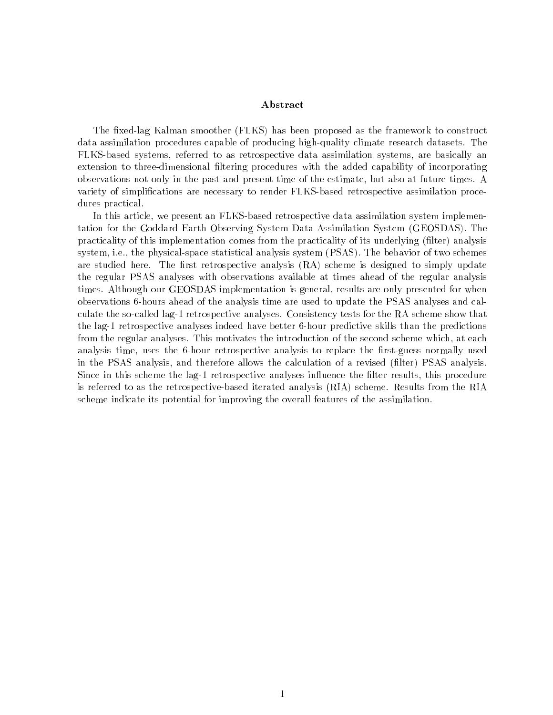### Abstract

The fixed-lag Kalman smoother (FLKS) has been proposed as the framework to construct data assimilation procedures capable of producing high-quality climate research datasets. The FLKS-based systems, referred to as retrospective data assimilation systems, are basically an extension to three-dimensional filtering procedures with the added capability of incorporating observations not only in the past and present time of the estimate, but also at future times. A variety of simplications are necessary to render FLKS-based retrospective assimilation procedures practical.

In this article, we present an FLKS-based retrospective data assimilation system implementation for the Goddard Earth Observing System Data Assimilation System (GEOSDAS). The practicality of this implementation comes from the practicality of its underlying (filter) analysis system, i.e., the physical-space statistical analysis system (PSAS). The behavior of two schemes are studied here. The first retrospective analysis  $(RA)$  scheme is designed to simply update the regular PSAS analyses with observations available at times ahead of the regular analysis times. Although our GEOSDAS implementation is general, results are only presented for when observations 6-hours ahead of the analysis time are used to update the PSAS analyses and calculate the so-called lag-1 retrospective analyses. Consistency tests for the RA scheme show that the lag-1 retrospective analyses indeed have better 6-hour predictive skills than the predictions from the regular analyses. This motivates the introduction of the second scheme which, at each analysis time, uses the 6-hour retrospective analysis to replace the first-guess normally used in the PSAS analysis, and therefore allows the calculation of a revised (filter) PSAS analysis. Since in this scheme the lag-1 retrospective analyses influence the filter results, this procedure is referred to as the retrospective-based iterated analysis (RIA) scheme. Results from the RIA scheme indicate its potential for improving the overall features of the assimilation.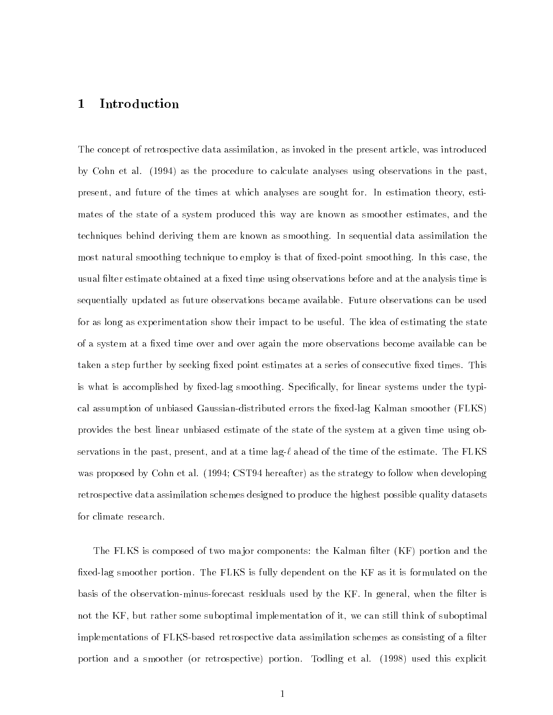## 1 Introduction

The concept of retrospective data assimilation, as invoked in the present article, was introduced by Cohn et al. (1994) as the procedure to calculate analyses using observations in the past, present, and future of the times at which analyses are sought for. In estimation theory, estimates of the state of a system produced this way are known as smoother estimates, and the techniques behind deriving them are known as smoothing. In sequential data assimilation the most natural smoothing technique to employ is that of fixed-point smoothing. In this case, the usual filter estimate obtained at a fixed time using observations before and at the analysis time is sequentially updated as future observations became available. Future observations can be used for as long as experimentation show their impact to be useful. The idea of estimating the state of a system at a fixed time over and over again the more observations become available can be taken a step further by seeking fixed point estimates at a series of consecutive fixed times. This is what is accomplished by fixed-lag smoothing. Specifically, for linear systems under the typical assumption of unbiased Gaussian-distributed errors the fixed-lag Kalman smoother (FLKS) provides the best linear unbiased estimate of the state of the system at a given time using observations in the past, present, and at a time lag- $\ell$  ahead of the time of the estimate. The FLKS was proposed by Cohn et al. (1994; CST94 hereafter) as the strategy to follow when developing retrospective data assimilation schemes designed to produce the highest possible quality datasets for climate research.

The FLKS is composed of two major components: the Kalman filter (KF) portion and the fixed-lag smoother portion. The FLKS is fully dependent on the KF as it is formulated on the basis of the observation-minus-forecast residuals used by the KF. In general, when the filter is not the KF, but rather some suboptimal implementation of it, we can still think of suboptimal implementations of FLKS-based retrospective data assimilation schemes as consisting of a filter portion and a smoother (or retrospective) portion. Todling et al. (1998) used this explicit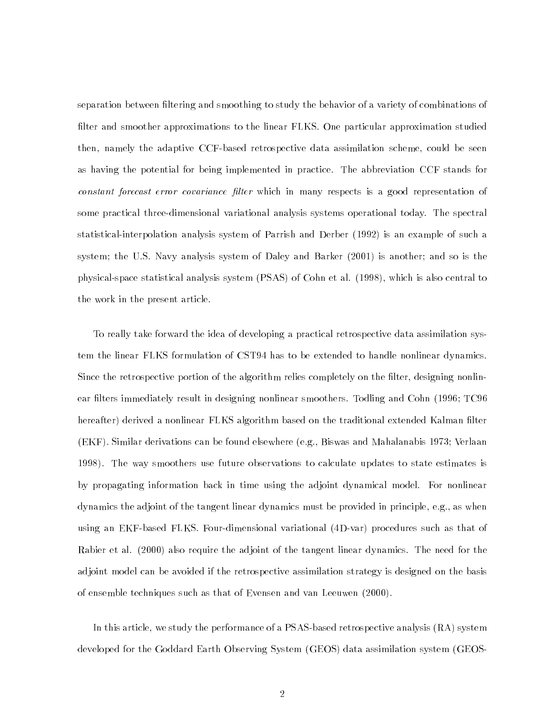separation between filtering and smoothing to study the behavior of a variety of combinations of filter and smoother approximations to the linear FLKS. One particular approximation studied then, namely the adaptive CCF-based retrospective data assimilation scheme, could be seen as having the potential for being implemented in practice. The abbreviation CCF stands for constant forecast error covariance filter which in many respects is a good representation of some practical three-dimensional variational analysis systems operational today. The spectral statistical-interpolation analysis system of Parrish and Derber (1992) is an example of such a system; the U.S. Navy analysis system of Daley and Barker (2001) is another; and so is the physical-space statistical analysis system (PSAS) of Cohn et al. (1998), which is also central to the work in the present article.

To really take forward the idea of developing a practical retrospective data assimilation system the linear FLKS formulation of CST94 has to be extended to handle nonlinear dynamics. Since the retrospective portion of the algorithm relies completely on the filter, designing nonlinear filters immediately result in designing nonlinear smoothers. Todling and Cohn (1996; TC96) hereafter) derived a nonlinear FLKS algorithm based on the traditional extended Kalman filter (EKF). Similar derivations can be found elsewhere (e.g., Biswas and Mahalanabis 1973; Verlaan 1998). The way smoothers use future observations to calculate updates to state estimates is by propagating information back in time using the adjoint dynamical model. For nonlinear dynamics the adjoint of the tangent linear dynamics must be provided in principle, e.g., as when using an EKF-based FLKS. Four-dimensional variational (4D-var) procedures such as that of Rabier et al. (2000) also require the adjoint of the tangent linear dynamics. The need for the adjoint model can be avoided if the retrospective assimilation strategy is designed on the basis of ensemble techniques such as that of Evensen and van Leeuwen (2000).

In this article, we study the performance of a PSAS-based retrospective analysis (RA) system developed for the Goddard Earth Observing System (GEOS) data assimilation system (GEOS-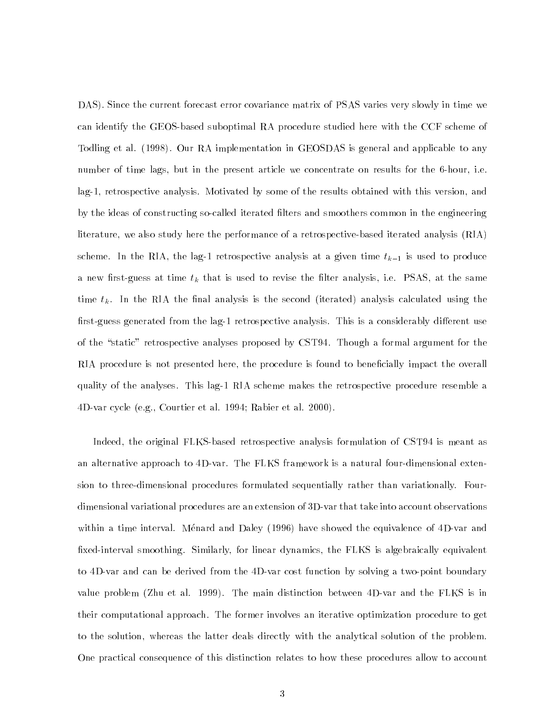DAS). Since the current forecast error covariance matrix of PSAS varies very slowly in time we can identify the GEOS-based suboptimal RA procedure studied here with the CCF scheme of Todling et al. (1998). Our RA implementation in GEOSDAS is general and applicable to any number of time lags, but in the present article we concentrate on results for the 6-hour, i.e. lag-1, retrospective analysis. Motivated by some of the results obtained with this version, and by the ideas of constructing so-called iterated filters and smoothers common in the engineering literature, we also study here the performance of a retrospective-based iterated analysis (RIA) scheme. In the RIA, the lag-1 retrospective analysis at a given time  $t_{k-1}$  is used to produce a new first-guess at time  $t_k$  that is used to revise the filter analysis, i.e. PSAS, at the same time  $t_k$ . In the RIA the final analysis is the second (iterated) analysis calculated using the first-guess generated from the lag-1 retrospective analysis. This is a considerably different use of the "static" retrospective analyses proposed by CST94. Though a formal argument for the RIA procedure is not presented here, the procedure is found to beneficially impact the overall quality of the analyses. This lag-1 RIA scheme makes the retrospective procedure resemble a 4D-var cycle (e.g., Courtier et al. 1994; Rabier et al. 2000).

Indeed, the original FLKS-based retrospective analysis formulation of CST94 is meant as an alternative approach to 4D-var. The FLKS framework is a natural four-dimensional extension to three-dimensional procedures formulated sequentially rather than variationally. Fourdimensional variational procedures are an extension of 3D-var that take into account observations within a time interval. Menard and Daley (1996) have showed the equivalence of 4D-var and fixed-interval smoothing. Similarly, for linear dynamics, the FLKS is algebraically equivalent to 4D-var and can be derived from the 4D-var cost function by solving a two-point boundary value problem (Zhu et al. 1999). The main distinction between 4D-var and the FLKS is in their computational approach. The former involves an iterative optimization procedure to get to the solution, whereas the latter deals directly with the analytical solution of the problem. One practical consequence of this distinction relates to how these procedures allow to account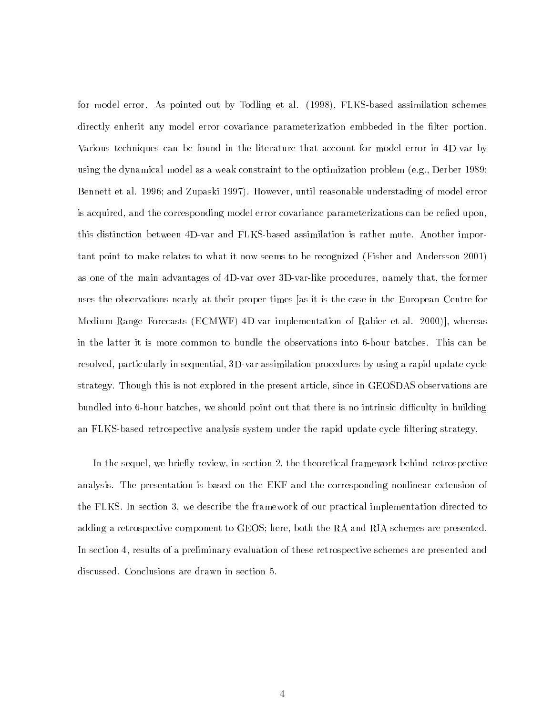for model error. As pointed out by Todling et al. (1998), FLKS-based assimilation schemes directly enherit any model error covariance parameterization embbeded in the filter portion. Various techniques can be found in the literature that account for model error in 4D-var by using the dynamical model as a weak constraint to the optimization problem (e.g., Derber 1989; Bennett et al. 1996; and Zupaski 1997). However, until reasonable understading of model error is acquired, and the corresponding model error covariance parameterizations can be relied upon, this distinction between 4D-var and FLKS-based assimilation is rather mute. Another important point to make relates to what it now seems to be recognized (Fisher and Andersson 2001) as one of the main advantages of 4D-var over 3D-var-like procedures, namely that, the former uses the observations nearly at their proper times [as it is the case in the European Centre for Medium-Range Forecasts (ECMWF) 4D-var implementation of Rabier et al. 2000)], whereas in the latter it is more common to bundle the observations into 6-hour batches. This can be resolved, particularly in sequential, 3D-var assimilation procedures by using a rapid update cycle strategy. Though this is not explored in the present article, since in GEOSDAS observations are bundled into 6-hour batches, we should point out that there is no intrinsic difficulty in building an FLKS-based retrospective analysis system under the rapid update cycle ltering strategy.

In the sequel, we briefly review, in section 2, the theoretical framework behind retrospective analysis. The presentation is based on the EKF and the corresponding nonlinear extension of the FLKS. In section 3, we describe the framework of our practical implementation directed to adding a retrospective component to GEOS; here, both the RA and RIA schemes are presented. In section 4, results of a preliminary evaluation of these retrospective schemes are presented and discussed. Conclusions are drawn in section 5.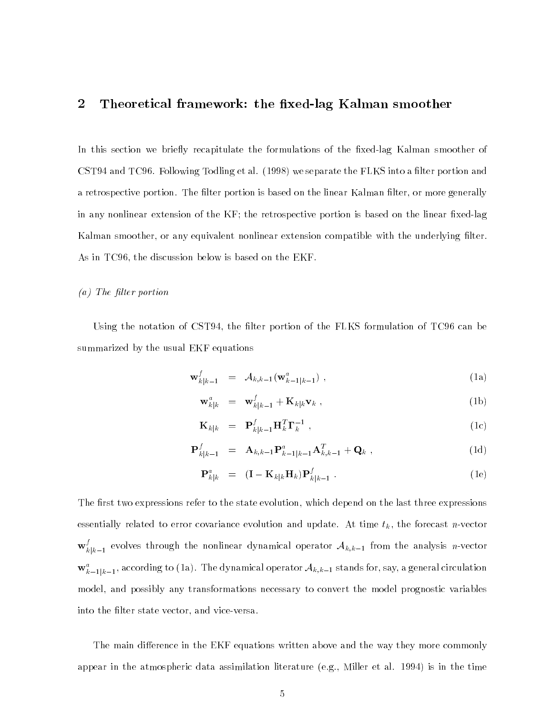## 2 Theoretical framework: the fixed-lag Kalman smoother

In this section we briefly recapitulate the formulations of the fixed-lag Kalman smoother of CST94 and TC96. Following Todling et al. (1998) we separate the FLKS into a filter portion and a retrospective portion. The filter portion is based on the linear Kalman filter, or more generally in any nonlinear extension of the  $KF$ ; the retrospective portion is based on the linear fixed-lag Kalman smoother, or any equivalent nonlinear extension compatible with the underlying filter. As in TC96, the discussion below is based on the EKF.

#### $(a)$  The filter portion

Using the notation of CST94, the filter portion of the FLKS formulation of TC96 can be summarized by the usual EKF equations

$$
\mathbf{w}_{k|k-1}^f = \mathcal{A}_{k,k-1}(\mathbf{w}_{k-1|k-1}^a) , \qquad (1a)
$$

$$
\mathbf{w}_{k|k}^a = \mathbf{w}_{k|k-1}^f + \mathbf{K}_{k|k} \mathbf{v}_k , \qquad (1b)
$$

$$
\mathbf{K}_{k|k} = \mathbf{P}_{k|k-1}^f \mathbf{H}_k^T \mathbf{\Gamma}_k^{-1} \tag{1c}
$$

$$
\mathbf{P}_{k|k-1}^{f} = \mathbf{A}_{k,k-1} \mathbf{P}_{k-1|k-1}^{a} \mathbf{A}_{k,k-1}^{T} + \mathbf{Q}_{k} , \qquad (1d)
$$

$$
\mathbf{P}_{k|k}^{a} = (\mathbf{I} - \mathbf{K}_{k|k} \mathbf{H}_{k}) \mathbf{P}_{k|k-1}^{f} . \qquad (1e)
$$

The first two expressions refer to the state evolution, which depend on the last three expressions essentially related to error covariance evolution and update. At time  $t_k$ , the forecast n-vector  $\mathbf{w}_{k|k-1}^{\star}$  evolves through the nonlinear dynamical operator  $\mathcal{A}_{k,k-1}$  from the analysis n-vector  $\mathbf{w}_{k-1|k-1}$ , according to (1a). The dynamical operator  $\mathcal{A}_{k,k-1}$  stands for, say, a general circulation model, and possibly any transformations necessary to convert the model prognostic variables into the filter state vector, and vice-versa.

The main difference in the EKF equations written above and the way they more commonly appear in the atmospheric data assimilation literature (e.g., Miller et al. 1994) is in the time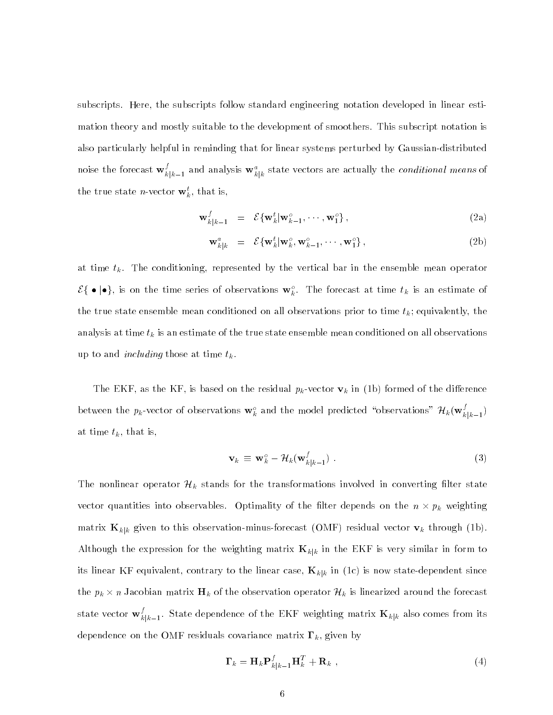subscripts. Here, the subscripts follow standard engineering notation developed in linear estimation theory and mostly suitable to the development of smoothers. This subscript notation is also particularly helpful in reminding that for linear systems perturbed by Gaussian-distributed noise the forecast  $\mathbf{w}_{k|k-1}^*$  and analysis  $\mathbf{w}_{k|k}^*$  state vectors are actually the *conditional means* of the true state *n*-vector  $\mathbf{w}_k$ , that is,

$$
\mathbf{w}_{k|k-1}^f = \mathcal{E}\{\mathbf{w}_k^t | \mathbf{w}_{k-1}^o, \cdots, \mathbf{w}_1^o\},
$$
\n(2a)

$$
\mathbf{w}_{k|k}^{a} = \mathcal{E}\{\mathbf{w}_{k}^{t}|\mathbf{w}_{k}^{o},\mathbf{w}_{k-1}^{o},\cdots,\mathbf{w}_{1}^{o}\},\tag{2b}
$$

at time  $t_k$ . The conditioning, represented by the vertical bar in the ensemble mean operator  $\mathcal{E}\{\bullet|\bullet\}$ , is on the time series of observations  $\mathbf{w}_k^o$ . The forecast at time  $t_k$  is an estimate of the true state ensemble mean conditioned on all observations prior to time  $t_k$ ; equivalently, the analysis at time  $t_k$  is an estimate of the true state ensemble mean conditioned on all observations up to and *including* those at time  $t_k$ .

The EKF, as the KF, is based on the residual  $p_k$ -vector  $\mathbf{v}_k$  in  $(1\mathrm{b})$  formed of the difference between the  $p_k$ -vector of observations  $\mathbf{w}_k^v$  and the model predicted "observations"  $H_k(\mathbf{w}_{k|k-1}^v)$ at time  $t_k$ , that is,

$$
\mathbf{v}_k \equiv \mathbf{w}_k^o - \mathcal{H}_k(\mathbf{w}_{k|k-1}^f) \tag{3}
$$

The nonlinear operator  $\mathcal{H}_k$  stands for the transformations involved in converting filter state vector quantities into observables. Optimum, or the meer depends on the  $n \wedge p_k$  weighting matrix  $\mathbf{K}_{k|k}$  given to this observation-minus-forecast (OMF) residual vector  $\mathbf{v}_k$  through (1b). Although the expression for the weighting matrix  $\mathbf{K}_{k|k}$  in the EKF is very similar in form to its linear KF equivalent, contrary to the linear case,  $\mathbf{K}_{k|k}$  in (1c) is now state-dependent since the pk - <sup>n</sup> Jacobian matrix Hk of the observation operator Hk is linearized around the forecast state vector  $\mathbf{w}_{k|k-1}^*$ . State dependence of the EKF weighting matrix  $\mathbf{K}_{k|k}$  also comes from its dependence on the OMF residuals covariance matrix  $\Gamma_k$ , given by

$$
\mathbf{\Gamma}_k = \mathbf{H}_k \mathbf{P}_{k|k-1}^f \mathbf{H}_k^T + \mathbf{R}_k \tag{4}
$$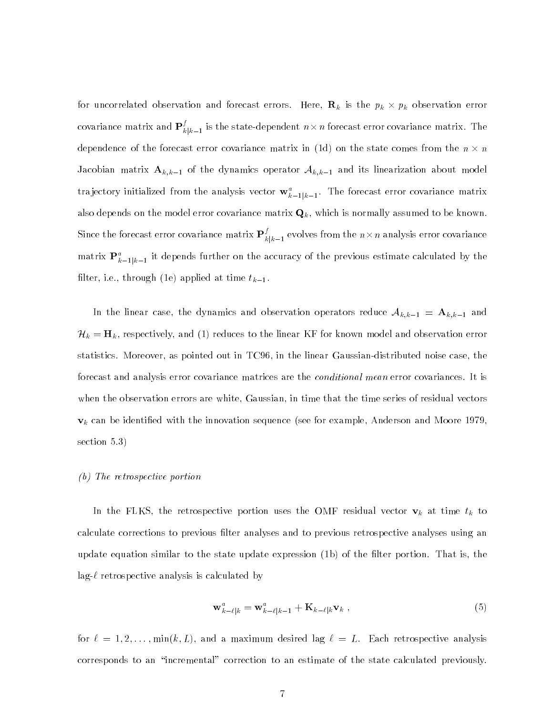for uncorrelated observation and forecast errors. Here,  $\mathbf{v}_k$  is the  $p_k \wedge p_k$  observation error covariance matrix and  $\mathbf{P}_{k|k-1}^s$  is the state-dependent  $n\times n$  forecast error covariance matrix. The dependence of the forecast error covariance matrix in (1d) on the state comes from the n  $\wedge$  n Jacobian matrix  $A_{k,k-1}$  of the dynamics operator  $A_{k,k-1}$  and its linearization about model trajectory initialized from the analysis vector  $\mathbf{w}_{k-1|k-1}$ . The forecast error covariance matrix also depends on the model error covariance matrix  $\mathbf{Q}_k$ , which is normally assumed to be known. Since the forecast error covariance matrix  $\mathbf{P}_{k|k-1}^s$  evolves from the  $n\times n$  analysis error covariance matrix  $\mathbf{r}_{k-1|k-1}^+$  it depends further on the accuracy of the previous estimate calculated by the filter, i.e., through (1e) applied at time  $t_{k-1}$ .

In the linear case, the dynamics and observation operators reduce  $\mathcal{A}_{k,k-1} \, = \, \mathbf{A}_{k,k-1}$  and  $\mathcal{H}_k = \mathbf{H}_k$ , respectively, and (1) reduces to the linear KF for known model and observation error statistics. Moreover, as pointed out in TC96, in the linear Gaussian-distributed noise case, the forecast and analysis error covariance matrices are the *conditional mean* error covariances. It is when the observation errors are white, Gaussian, in time that the time series of residual vectors  $\mathbf{v}_k$  can be identified with the innovation sequence (see for example, Anderson and Moore 1979, section 5.3)

#### (b) The retrospective portion

In the FLKS, the retrospective portion uses the OMF residual vector  $\mathbf{v}_k$  at time  $t_k$  to calculate corrections to previous filter analyses and to previous retrospective analyses using an update equation similar to the state update expression  $(1b)$  of the filter portion. That is, the  $lag-\ell$  retrospective analysis is calculated by

$$
\mathbf{w}_{k-\ell|k}^a = \mathbf{w}_{k-\ell|k-1}^a + \mathbf{K}_{k-\ell|k} \mathbf{v}_k \tag{5}
$$

for  $\ell = 1, 2, \ldots, \min(k, L)$ , and a maximum desired lag  $\ell = L$ . Each retrospective analysis corresponds to an "incremental" correction to an estimate of the state calculated previously.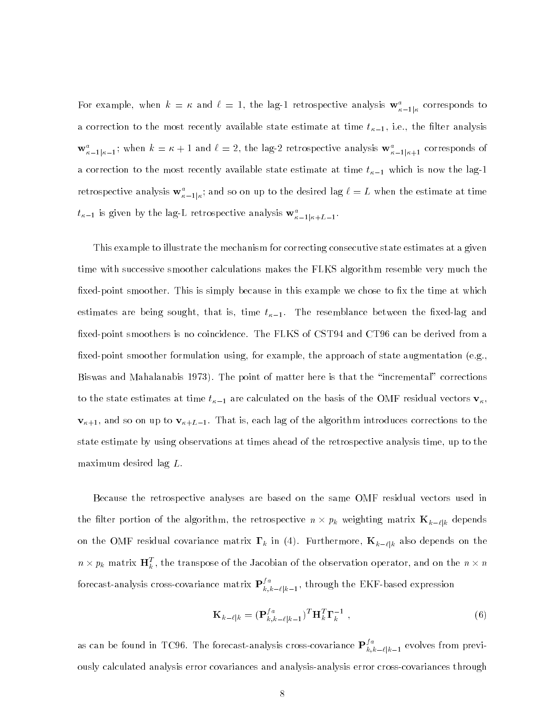For example, when  $\kappa = \kappa$  and  $\ell = 1$ , the lag-1 retrospective analysis  $\mathbf{w}_{\kappa-1|\kappa}^*$  corresponds to a correction to the most recently available state estimate at time  $t_{\kappa-1}$ , i.e., the filter analysis  $\mathbf{w}_{\kappa-1|\kappa-1}^*$ ; when  $\kappa = \kappa + 1$  and  $\iota = 2$ , the lag-2 retrospective analysis  $\mathbf{w}_{\kappa-1|\kappa+1}^*$  corresponds of a correction to the most recently available state estimate at time  $t_{\kappa-1}$  which is now the lag-1 retrospective analysis  $\mathbf{w}_{\kappa-1|\kappa}^a$ ; and so on up to the desired lag  $\ell = L$  when the estimate at time  $t_{\kappa-1}$  is given by the lag-L retrospective analysis  $\mathbf{w}_{\kappa-1|\kappa+L-1}$ .

This example to illustrate the mechanism for correcting consecutive state estimates at a given time with successive smoother calculations makes the FLKS algorithm resemble very much the fixed-point smoother. This is simply because in this example we chose to fix the time at which estimates are being sought, that is, time  $t_{\kappa-1}$ . The resemblance between the fixed-lag and fixed-point smoothers is no coincidence. The FLKS of CST94 and CT96 can be derived from a fixed-point smoother formulation using, for example, the approach of state augmentation (e.g., Biswas and Mahalanabis 1973). The point of matter here is that the \incremental" corrections to the state estimates at time  $t_{\kappa-1}$  are calculated on the basis of the OMF residual vectors  $\mathbf{v}_{\kappa}$ ,  $\mathbf{v}_{\kappa+1}$ , and so on up to  $\mathbf{v}_{\kappa+L-1}$ . That is, each lag of the algorithm introduces corrections to the state estimate by using observations at times ahead of the retrospective analysis time, up to the maximum desired lag L.

Because the retrospective analyses are based on the same OMF residual vectors used in  $\sum_{k=1}^{n}$  the portion of the algorithm, the retrospective n  $\sum_{k=1}^{n} k$  weighting matrix  $\sum_{k=1}^{n}$ on the OMF residual covariance matrix  $\Gamma_k$  in (4). Furthermore,  $\mathbf{K}_{k-\ell|k}$  also depends on the  $n \times p_k$  matrix  $\mathbf{h}^{\top}_k$  , the transpose of the Jacobian of the observation operator, and on the  $n \times n$ forecast-analysis cross-covariance matrix  $\mathbf{P}_{k,k-\ell|k-1}^s,$  through the EKF-based expression

$$
\mathbf{K}_{k-\ell|k} = (\mathbf{P}_{k,k-\ell|k-1}^{fa})^T \mathbf{H}_k^T \mathbf{\Gamma}_k^{-1} ,
$$
\n(6)

as can be found in TC96. The forecast-analysis cross-covariance  $\mathbf{P}_{k,k-\ell|k-1}^{j,a}$  evolves from previously calculated analysis error covariances and analysis-analysis error cross-covariances through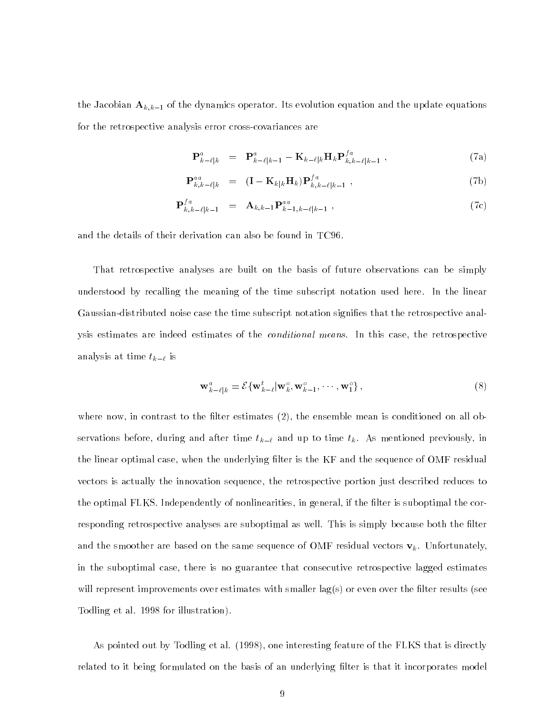the Jacobian  $A_{k,k-1}$  of the dynamics operator. Its evolution equation and the update equations for the retrospective analysis error cross-covariances are

$$
\mathbf{P}_{k-\ell|k}^{a} = \mathbf{P}_{k-\ell|k-1}^{a} - \mathbf{K}_{k-\ell|k} \mathbf{H}_{k} \mathbf{P}_{k,k-\ell|k-1}^{fa} , \qquad (7a)
$$

$$
\mathbf{P}_{k,k-\ell|k}^{aa} = (\mathbf{I} - \mathbf{K}_{k|k} \mathbf{H}_k) \mathbf{P}_{k,k-\ell|k-1}^{fa} , \qquad (7b)
$$

$$
\mathbf{P}_{k,k-\ell|k-1}^{fa} = \mathbf{A}_{k,k-1} \mathbf{P}_{k-1,k-\ell|k-1}^{aa} , \qquad (7c)
$$

and the details of their derivation can also be found in TC96.

That retrospective analyses are built on the basis of future observations can be simply understood by recalling the meaning of the time subscript notation used here. In the linear Gaussian-distributed noise case the time subscript notation signies that the retrospective analysis estimates are indeed estimates of the *conditional means*. In this case, the retrospective analysis at time  $t_{k-\ell}$  is

$$
\mathbf{w}_{k-\ell|k}^a = \mathcal{E}\{\mathbf{w}_{k-\ell}^t | \mathbf{w}_k^o, \mathbf{w}_{k-1}^o, \cdots, \mathbf{w}_1^o\},\tag{8}
$$

where now, in contrast to the filter estimates  $(2)$ , the ensemble mean is conditioned on all observations before, during and after time  $t_{k-\ell}$  and up to time  $t_k$ . As mentioned previously, in the linear optimal case, when the underlying filter is the KF and the sequence of OMF residual vectors is actually the innovation sequence, the retrospective portion just described reduces to the optimal FLKS. Independently of nonlinearities, in general, if the filter is suboptimal the corresponding retrospective analyses are suboptimal as well. This is simply because both the filter and the smoother are based on the same sequence of OMF residual vectors  $\mathbf{v}_k$ . Unfortunately, in the suboptimal case, there is no guarantee that consecutive retrospective lagged estimates will represent improvements over estimates with smaller  $lag(s)$  or even over the filter results (see Todling et al. 1998 for illustration).

As pointed out by Todling et al. (1998), one interesting feature of the FLKS that is directly related to it being formulated on the basis of an underlying lter is that it incorporates model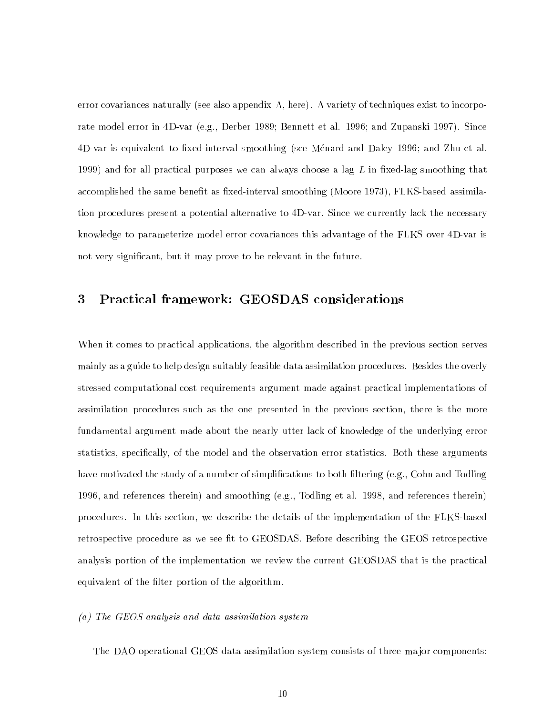error covariances naturally (see also appendix A, here). A variety of techniques exist to incorporate model error in 4D-var (e.g., Derber 1989; Bennett et al. 1996; and Zupanski 1997). Since 4D-var is equivalent to fixed-interval smoothing (see Ménard and Daley 1996; and Zhu et al. 1999) and for all practical purposes we can always choose a lag  $L$  in fixed-lag smoothing that accomplished the same benefit as fixed-interval smoothing (Moore 1973), FLKS-based assimilation procedures present a potential alternative to 4D-var. Since we currently lack the necessary knowledge to parameterize model error covariances this advantage of the FLKS over 4D-var is not very signicant, but it may prove to be relevant in the future.

#### Practical framework: GEOSDAS considerations 3

When it comes to practical applications, the algorithm described in the previous section serves mainly as a guide to help design suitably feasible data assimilation procedures. Besides the overly stressed computational cost requirements argument made against practical implementations of assimilation procedures such as the one presented in the previous section, there is the more fundamental argument made about the nearly utter lack of knowledge of the underlying error statistics, specically, of the model and the observation error statistics. Both these arguments have motivated the study of a number of simplifications to both filtering (e.g., Cohn and Todling 1996, and references therein) and smoothing (e.g., Todling et al. 1998, and references therein) procedures. In this section, we describe the details of the implementation of the FLKS-based retrospective procedure as we see fit to GEOSDAS. Before describing the GEOS retrospective analysis portion of the implementation we review the current GEOSDAS that is the practical equivalent of the filter portion of the algorithm.

#### (a) The GEOS analysis and data assimilation system

The DAO operational GEOS data assimilation system consists of three major components: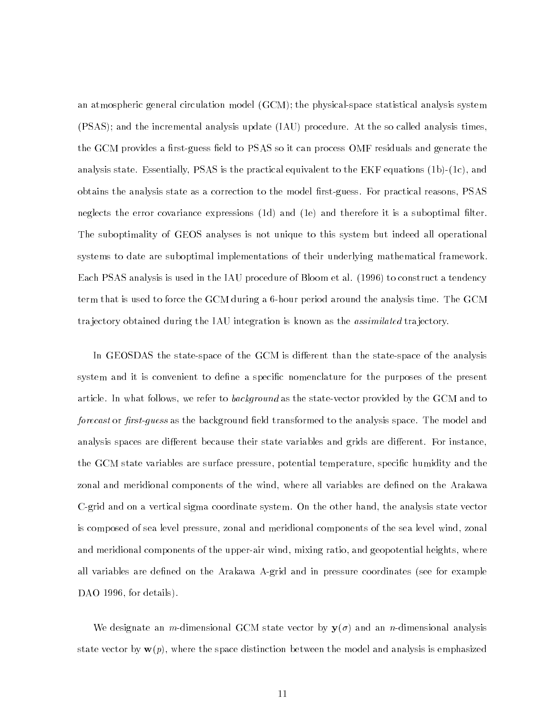an atmospheric general circulation model (GCM); the physical-space statistical analysis system (PSAS); and the incremental analysis update (IAU) procedure. At the so called analysis times, the GCM provides a first-guess field to PSAS so it can process OMF residuals and generate the analysis state. Essentially, PSAS is the practical equivalent to the EKF equations (1b)-(1c), and obtains the analysis state as a correction to the model first-guess. For practical reasons, PSAS neglects the error covariance expressions (1d) and (1e) and therefore it is a suboptimal filter. The suboptimality of GEOS analyses is not unique to this system but indeed all operational systems to date are suboptimal implementations of their underlying mathematical framework. Each PSAS analysis is used in the IAU procedure of Bloom et al. (1996) to construct a tendency term that is used to force the GCM during a 6-hour period around the analysis time. The GCM trajectory obtained during the IAU integration is known as the *assimilated* trajectory.

In GEOSDAS the state-space of the GCM is different than the state-space of the analysis system and it is convenient to define a specific nomenclature for the purposes of the present article. In what follows, we refer to *background* as the state-vector provided by the GCM and to forecast or first-quess as the background field transformed to the analysis space. The model and analysis spaces are different because their state variables and grids are different. For instance, the GCM state variables are surface pressure, potential temperature, specific humidity and the zonal and meridional components of the wind, where all variables are defined on the Arakawa C-grid and on a vertical sigma coordinate system. On the other hand, the analysis state vector is composed of sea level pressure, zonal and meridional components of the sea level wind, zonal and meridional components of the upper-air wind, mixing ratio, and geopotential heights, where all variables are defined on the Arakawa A-grid and in pressure coordinates (see for example DAO 1996, for details).

We designate an m-dimensional GCM state vector by  $y(\sigma)$  and an n-dimensional analysis state vector by  $w(p)$ , where the space distinction between the model and analysis is emphasized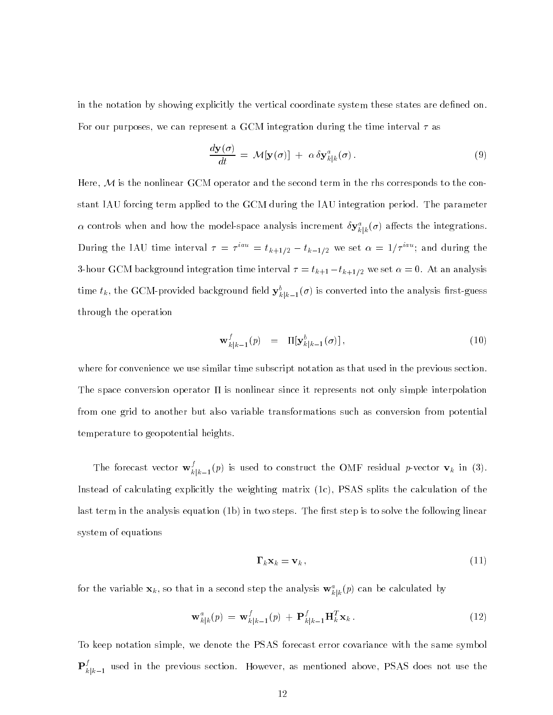in the notation by showing explicitly the vertical coordinate system these states are defined on. For our purposes, we can represent a GCM integration during the time interval  $\tau$  as

$$
\frac{d\mathbf{y}(\sigma)}{dt} = \mathcal{M}[\mathbf{y}(\sigma)] + \alpha \delta \mathbf{y}_{k|k}^a(\sigma).
$$
\n(9)

Here,  ${\cal M}$  is the nonlinear GCM operator and the second term in the rhs corresponds to the constant IAU forcing term applied to the GCM during the IAU integration period. The parameter  $\alpha$  controls when and now the model-space analysis increment  $\delta \mathbf{y}_{k|k}^-(\sigma)$  allects the integrations. During the IAU time interval  $\tau = \tau^{++} = t_{k+1/2} - t_{k-1/2}$  we set  $\alpha = 1/\tau^{++}$ ; and during the 3-hour GCM background integration time interval  $\tau = t_{k+1} - t_{k+1/2}$  we set  $\alpha = 0$ . At an analysis time  $i_k$ , the GCM-provided background held  $\mathbf{y}_{k|k-1}(o)$  is converted into the analysis first-guess through the operation

$$
\mathbf{w}_{k|k-1}^f(p) = \Pi[\mathbf{y}_{k|k-1}^b(\sigma)], \qquad (10)
$$

where for convenience we use similar time subscript notation as that used in the previous section. The space conversion operator II is nonlinear since it represents not only simple interpolation from one grid to another but also variable transformations such as conversion from potential temperature to geopotential heights.

The forecast vector  $\mathbf{w}_{k|k-1}^{\ast}(p)$  is used to construct the OMF residual p-vector  $\mathbf{v}_{k}$  in (3). Instead of calculating explicitly the weighting matrix (1c), PSAS splits the calculation of the last term in the analysis equation (1b) in two steps. The first step is to solve the following linear system of equations

$$
\Gamma_k \mathbf{x}_k = \mathbf{v}_k \,,\tag{11}
$$

for the variable  $\mathbf{x}_k$ , so that in a second step the analysis  $\mathbf{w}_{k|k}^{\top}(p)$  can be calculated by

$$
\mathbf{w}_{k|k}^{a}(p) = \mathbf{w}_{k|k-1}^{f}(p) + \mathbf{P}_{k|k-1}^{f} \mathbf{H}_{k}^{T} \mathbf{x}_{k}.
$$
 (12)

To keep notation simple, we denote the PSAS forecast error covariance with the same symbol  $\mathbf{P}_{k|k-1}^s$  used in the previous section. However, as mentioned above, PSAS does not use the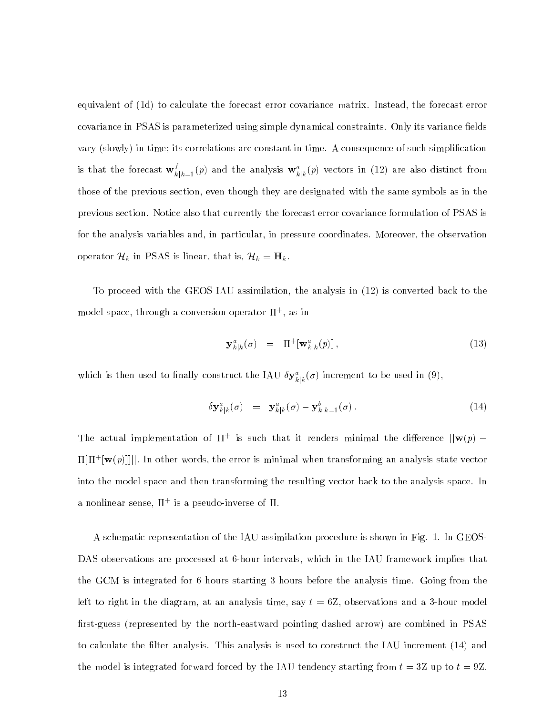equivalent of (1d) to calculate the forecast error covariance matrix. Instead, the forecast error covariance in PSAS is parameterized using simple dynamical constraints. Only its variance fields vary (slowly) in time; its correlations are constant in time. A consequence of such simplication is that the forecast  ${\bf w}^*_{k|k-1}(p)$  and the analysis  ${\bf w}^u_{k|k}(p)$  vectors in (12) are also distinct from those of the previous section, even though they are designated with the same symbols as in the previous section. Notice also that currently the forecast error covariance formulation of PSAS is for the analysis variables and, in particular, in pressure coordinates. Moreover, the observation operator  $\mathcal{H}_k$  in PSAS is linear, that is,  $\mathcal{H}_k = \mathbf{H}_k$ .

To proceed with the GEOS IAU assimilation, the analysis in (12) is converted back to the model space, through a conversion operator + , as in

$$
\mathbf{y}_{k|k}^a(\sigma) = \Pi^+[\mathbf{w}_{k|k}^a(p)], \qquad (13)
$$

which is then used to maily construct the IAU  $\delta \mathbf{y}_{k|k}^*(\sigma)$  increment to be used in (9),

$$
\delta \mathbf{y}_{k|k}^a(\sigma) = \mathbf{y}_{k|k}^a(\sigma) - \mathbf{y}_{k|k-1}^b(\sigma). \tag{14}
$$

The actual implementation of  $\Pi^+$  is such that it renders minimal the difference  $\|\mathbf{w}(p)\|$   $=$  $\text{H}[\Pi^+|\mathbf{W}(\mathit{p})|]]$  . In other words, the error is minimal when transforming an analysis state vector into the model space and then transforming the resulting vector back to the analysis space. In a nonimear sense, 11 + is a pseudo-inverse of 11.

A schematic representation of the IAU assimilation procedure is shown in Fig. 1. In GEOS-DAS observations are processed at 6-hour intervals, which in the IAU framework implies that the GCM is integrated for 6 hours starting 3 hours before the analysis time. Going from the left to right in the diagram, at an analysis time, say  $t = 6Z$ , observations and a 3-hour model first-guess (represented by the north-eastward pointing dashed arrow) are combined in PSAS to calculate the filter analysis. This analysis is used to construct the IAU increment (14) and the model is integrated forward forced by the IAU tendency starting from  $t = 3Z$  up to  $t = 9Z$ .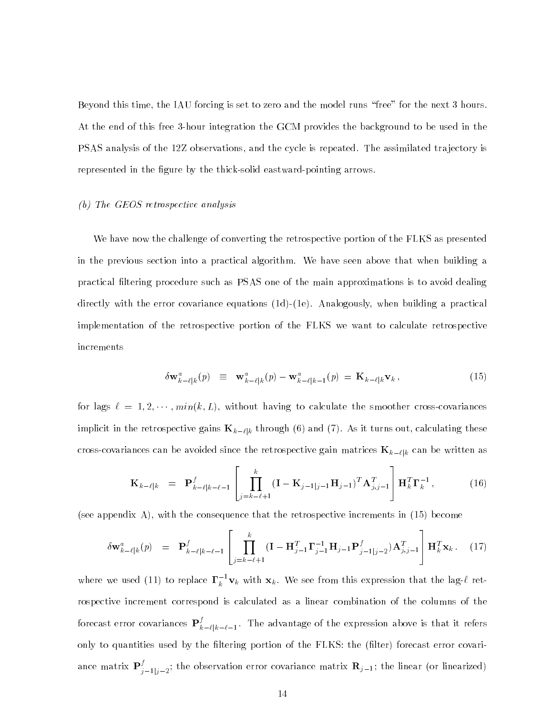Beyond this time, the IAU forcing is set to zero and the model runs "free" for the next 3 hours. At the end of this free 3-hour integration the GCM provides the background to be used in the PSAS analysis of the 12Z observations, and the cycle is repeated. The assimilated tra jectory is represented in the figure by the thick-solid eastward-pointing arrows.

### (b) The GEOS retrospective analysis

We have now the challenge of converting the retrospective portion of the FLKS as presented in the previous section into a practical algorithm. We have seen above that when building a practical ltering procedure such as PSAS one of the main approximations is to avoid dealing directly with the error covariance equations (1d)-(1e). Analogously, when building a practical implementation of the retrospective portion of the FLKS we want to calculate retrospective increments

$$
\delta \mathbf{w}_{k-\ell|k}^{a}(p) \equiv \mathbf{w}_{k-\ell|k}^{a}(p) - \mathbf{w}_{k-\ell|k-1}^{a}(p) = \mathbf{K}_{k-\ell|k} \mathbf{v}_{k}, \qquad (15)
$$

for lags  $\ell = 1, 2, \cdots, min(k, L)$ , without having to calculate the smoother cross-covariances implicit in the retrospective gains  ${\bf K}_{k-\ell|k}$  through (6) and (7). As it turns out, calculating these cross-covariances can be avoided since the retrospective gain matrices  $\mathbf{K}_{k-\ell|k}$  can be written as

$$
\mathbf{K}_{k-\ell|k} = \mathbf{P}_{k-\ell|k-\ell-1}^f \left[ \prod_{j=k-\ell+1}^k (\mathbf{I} - \mathbf{K}_{j-1|j-1} \mathbf{H}_{j-1})^T \mathbf{A}_{j,j-1}^T \right] \mathbf{H}_k^T \mathbf{\Gamma}_k^{-1}, \quad (16)
$$

<sup>3</sup>

(see appendix A), with the consequence that the retrospective increments in (15) become

<u>2002 - Carl Carl Communication and the communication and the communication and the communication and the communication and the communication and the communication and the communication and the communication and the commun</u>

$$
\delta \mathbf{w}_{k-\ell|k}^{a}(p) = \mathbf{P}_{k-\ell|k-\ell-1}^{f} \left[ \prod_{j=k-\ell+1}^{k} (\mathbf{I} - \mathbf{H}_{j-1}^{T} \mathbf{\Gamma}_{j-1}^{-1} \mathbf{H}_{j-1} \mathbf{P}_{j-1|j-2}^{f}) \mathbf{A}_{j,j-1}^{T} \right] \mathbf{H}_{k}^{T} \mathbf{x}_{k}.
$$
 (17)

where we used (11) to replace  $\mathbf{\Gamma}_k^{-\mathbf{v}_k}$  with  $\mathbf{x}_k.$  We see from this expression that the lag- $\ell$  retrospective increment correspond is calculated as a linear combination of the columns of the forecast error covariances  $\mathbf{P}_{k-\ell|k-\ell-1}^j$ . The advantage of the expression above is that it refers only to quantities used by the filtering portion of the FLKS: the (filter) forecast error covariance matrix  $\mathbf{P}_{j-1|j-2}^j$ ; the observation error covariance matrix  $\mathbf{R}_{j-1}$ ; the linear (or linearized)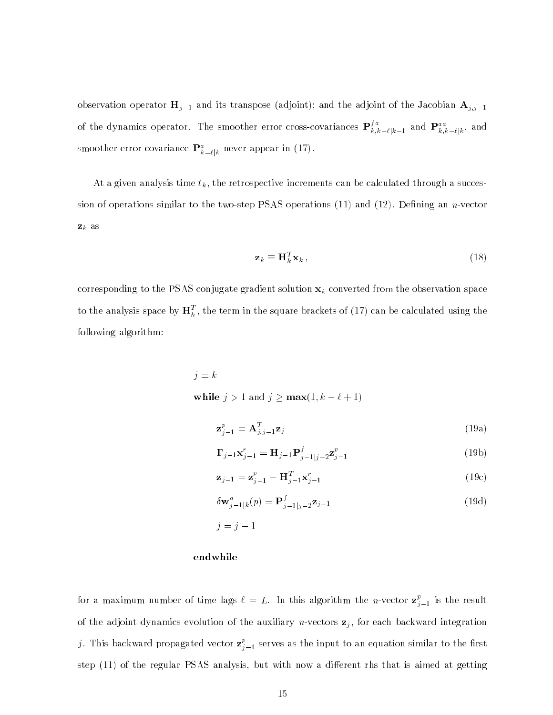observation operator  $\mathbf{H}_{j-1}$  and its transpose (adjoint); and the adjoint of the Jacobian  $\mathbf{A}_{j,j-1}$ of the dynamics operator. The smoother error cross-covariances  $\mathbf{P}_{k,k-\ell|k-1}^{\circ}$  and  $\mathbf{P}_{k,k-\ell|k}^{a\,a}$ , and smoother error covariance  $\mathbf{F}_{k-\ell|k}^{\circ}$  never appear in (17).

At a given analysis time  $t_k$ , the retrospective increments can be calculated through a succession of operations similar to the two-step PSAS operations  $(11)$  and  $(12)$ . Defining an *n*-vector  $\mathbf{z}_k$  as

$$
\mathbf{z}_k \equiv \mathbf{H}_k^T \mathbf{x}_k \,, \tag{18}
$$

corresponding to the PSAS conjugate gradient solution  $x_k$  converted from the observation space to the analysis space by  $\mathbf{H}^{\tau}_k$  , the term in the square brackets of (17) can be calculated using the following algorithm:

> j = <sup>k</sup> while  $j > 1$  and  $j \ge \max(1, k - \ell + 1)$

$$
\mathbf{z}_{j-1}^p = \mathbf{A}_{j,j-1}^T \mathbf{z}_j \tag{19a}
$$

$$
\Gamma_{j-1} \mathbf{x}_{j-1}^r = \mathbf{H}_{j-1} \mathbf{P}_{j-1|j-2}^f \mathbf{z}_{j-1}^p
$$
 (19b)

$$
\mathbf{z}_{j-1} = \mathbf{z}_{j-1}^p - \mathbf{H}_{j-1}^T \mathbf{x}_{j-1}^r
$$
 (19c)

$$
\delta \mathbf{w}_{j-1|k}^{a}(p) = \mathbf{P}_{j-1|j-2}^{f} \mathbf{z}_{j-1}
$$
\n(19d)

j = <sup>j</sup> 1

#### endwhile

for a maximum number of time lags  $\ell = L$ . In this algorithm the *n*-vector  $\mathbf{z}_{i+1}^r$  $j-1$  is the results. of the adjoint dynamics evolution of the auxiliary *n*-vectors  $z_j$ , for each backward integration ). This backward propagated vector  $\mathbf{z}^r_{n+1}$  $j=1$  serves as the input to an equation similar to the input to the input to the input of  $r$ step (11) of the regular PSAS analysis, but with now a different rhs that is aimed at getting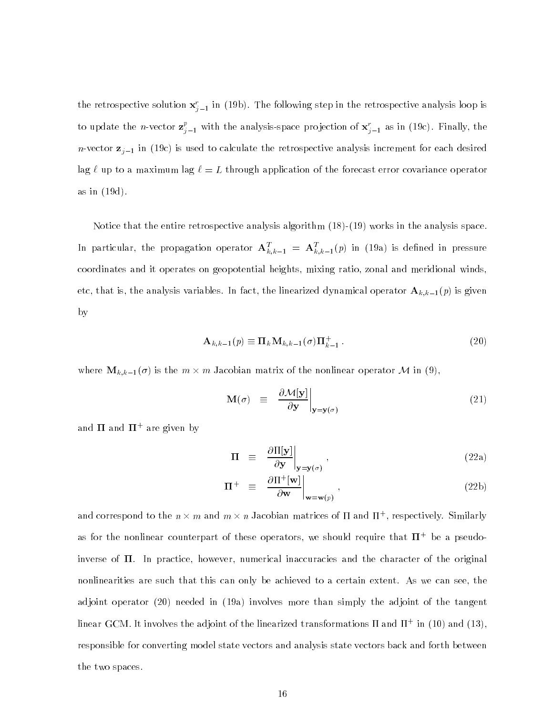the retrospective solution  $\mathbf{x}_{i-1}$  in (19b). The following step in the retrospective analysis loop is to update the *n*-vector  $\mathbf{z}_{j-1}^c$  with the analysis-space projection of  $\mathbf{x}_{j-1}^c$  as in (19c). Finally, the n-vector  $z_{j-1}$  in (19c) is used to calculate the retrospective analysis increment for each desired lag  $\ell$  up to a maximum lag  $\ell = L$  through application of the forecast error covariance operator as in (19d).

Notice that the entire retrospective analysis algorithm (18)-(19) works in the analysis space. In particular, the propagation operator  ${\bf A}_{k,k-1}^-= {\bf A}_{k,k-1}^*(p)$  in (19a) is defined in pressure coordinates and it operates on geopotential heights, mixing ratio, zonal and meridional winds, etc, that is, the analysis variables. In fact, the linearized dynamical operator  $\mathbf{A}_{k,k-1}(p)$  is given by

$$
\mathbf{A}_{k,k-1}(p) \equiv \mathbf{\Pi}_k \mathbf{M}_{k,k-1}(\sigma) \mathbf{\Pi}_{k-1}^+ \,. \tag{20}
$$

where  $\mathbb{L}_{k}$ <sub>i</sub>  $\mathbb{L}_{l}$  is the m  $\wedge$  m galaximinimized at the nonlinear operator  $\mathbb{L}_{l}$ , in  $\langle 0 \rangle$ ,

$$
\mathbf{M}(\sigma) \quad \equiv \quad \frac{\partial \mathcal{M}[\mathbf{y}]}{\partial \mathbf{y}} \bigg|_{\mathbf{y} = \mathbf{y}(\sigma)} \tag{21}
$$

and 11 and 11 'are given by

$$
\Pi \equiv \left. \frac{\partial \Pi[\mathbf{y}]}{\partial \mathbf{y}} \right|_{\mathbf{y} = \mathbf{y}(\sigma)}, \tag{22a}
$$

$$
\Pi^{+} \equiv \left. \frac{\partial \Pi^{+}[\mathbf{w}]}{\partial \mathbf{w}} \right|_{\mathbf{w} = \mathbf{w}(p)}, \qquad (22b)
$$

and correspond to the  $n \times m$  and  $m \times n$  jacobian matrices of 11 and 11+, respectively. Similarly as for the nonlinear counterpart of these operators, we should require that  ${\bf H}^+$  be a pseudoinverse of  $\Pi$ . In practice, however, numerical inaccuracies and the character of the original nonlinearities are such that this can only be achieved to a certain extent. As we can see, the adjoint operator (20) needed in (19a) involves more than simply the adjoint of the tangent  $\min$  in  $\Gamma$  is the model of the magnetic transformations if and  $\Gamma$  . In (10) and (13), responsible for converting model state vectors and analysis state vectors back and forth between the two spaces.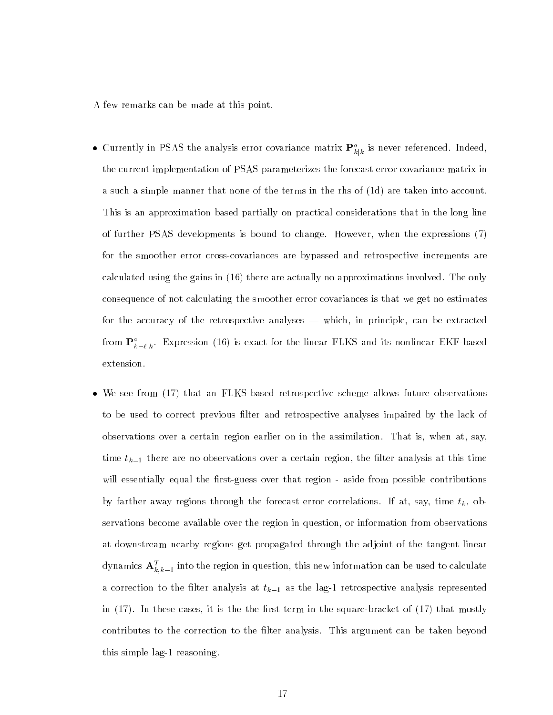A few remarks can be made at this point.

- $\bullet$  Currently in PSAS the analysis error covariance matrix  $\mathbf{F}_{k|k}^{\ast}$  is never referenced. Indeed, the current implementation of PSAS parameterizes the forecast error covariance matrix in a such a simple manner that none of the terms in the rhs of (1d) are taken into account. This is an approximation based partially on practical considerations that in the long line of further PSAS developments is bound to change. However, when the expressions (7) for the smoother error cross-covariances are bypassed and retrospective increments are calculated using the gains in (16) there are actually no approximations involved. The only consequence of not calculating the smoother error covariances is that we get no estimates for the accuracy of the retrospective analyses — which, in principle, can be extracted from  $\mathbf{F}_{k-\ell|k}^{\star}$ . Expression (16) is exact for the linear FLKS and its nonlinear EKF-based extension.
- We see from (17) that an FLKS-based retrospective scheme allows future observations to be used to correct previous filter and retrospective analyses impaired by the lack of observations over a certain region earlier on in the assimilation. That is, when at, say, time  $t_{k-1}$  there are no observations over a certain region, the filter analysis at this time will essentially equal the first-guess over that region - aside from possible contributions by farther away regions through the forecast error correlations. If at, say, time  $t_k$ , observations become available over the region in question, or information from observations at downstream nearby regions get propagated through the adjoint of the tangent linear dynamics  $\mathbf{A}_{k,k-1}$  into the region in question, this new information can be used to calculate a correction to the filter analysis at  $t_{k-1}$  as the lag-1 retrospective analysis represented in  $(17)$ . In these cases, it is the the first term in the square-bracket of  $(17)$  that mostly contributes to the correction to the filter analysis. This argument can be taken beyond this simple lag-1 reasoning.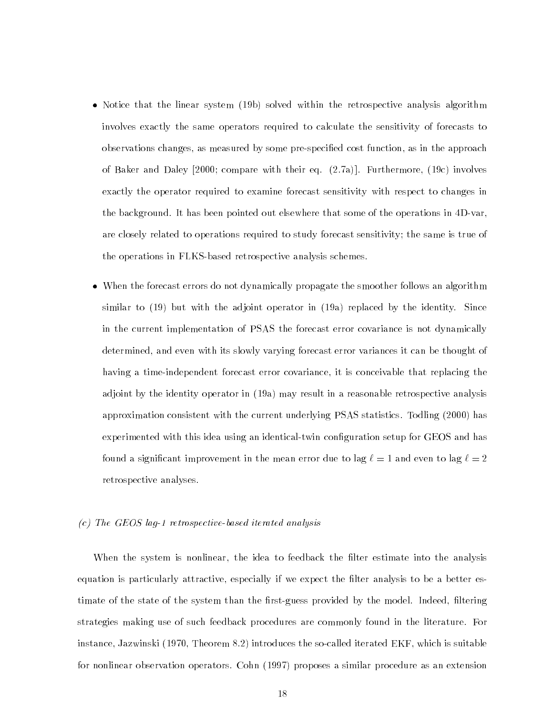- Notice that the linear system (19b) solved within the retrospective analysis algorithm involves exactly the same operators required to calculate the sensitivity of forecasts to observations changes, as measured by some pre-specied cost function, as in the approach of Baker and Daley [2000; compare with their eq. (2.7a)]. Furthermore, (19c) involves exactly the operator required to examine forecast sensitivity with respect to changes in the background. It has been pointed out elsewhere that some of the operations in 4D-var, are closely related to operations required to study forecast sensitivity; the same is true of the operations in FLKS-based retrospective analysis schemes.
- When the forecast errors do not dynamically propagate the smoother follows an algorithm similar to (19) but with the adjoint operator in (19a) replaced by the identity. Since in the current implementation of PSAS the forecast error covariance is not dynamically determined, and even with its slowly varying forecast error variances it can be thought of having a time-independent forecast error covariance, it is conceivable that replacing the adjoint by the identity operator in (19a) may result in a reasonable retrospective analysis approximation consistent with the current underlying PSAS statistics. Todling (2000) has experimented with this idea using an identical-twin conguration setup for GEOS and has found a significant improvement in the mean error due to lag  $\ell = 1$  and even to lag  $\ell = 2$ retrospective analyses.

#### (c) The GEOS lag-1 retrospective-based iterated analysis

When the system is nonlinear, the idea to feedback the filter estimate into the analysis equation is particularly attractive, especially if we expect the filter analysis to be a better estimate of the state of the system than the first-guess provided by the model. Indeed, filtering strategies making use of such feedback procedures are commonly found in the literature. For instance, Jazwinski (1970, Theorem 8.2) introduces the so-called iterated EKF, which is suitable for nonlinear observation operators. Cohn (1997) proposes a similar procedure as an extension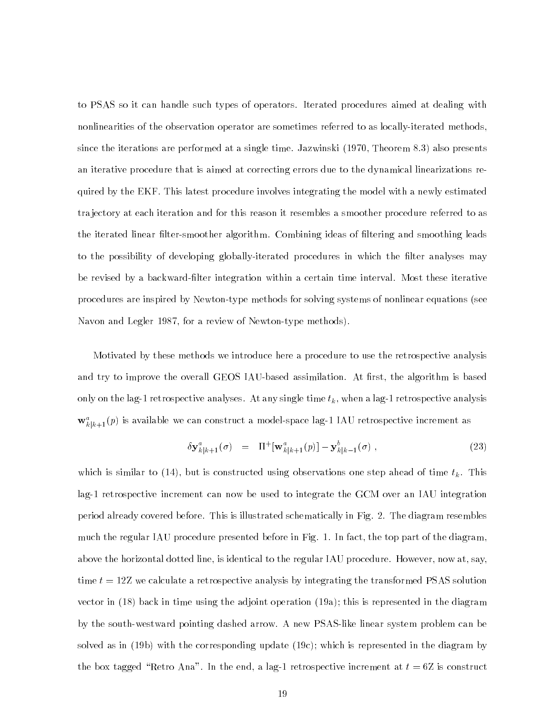to PSAS so it can handle such types of operators. Iterated procedures aimed at dealing with nonlinearities of the observation operator are sometimes referred to as locally-iterated methods, since the iterations are performed at a single time. Jazwinski (1970, Theorem 8.3) also presents an iterative procedure that is aimed at correcting errors due to the dynamical linearizations required by the EKF. This latest procedure involves integrating the model with a newly estimated tra jectory at each iteration and for this reason it resembles a smoother procedure referred to as the iterated linear filter-smoother algorithm. Combining ideas of filtering and smoothing leads to the possibility of developing globally-iterated procedures in which the filter analyses may be revised by a backward-lter integration within a certain time interval. Most these iterative procedures are inspired by Newton-type methods for solving systems of nonlinear equations (see Navon and Legler 1987, for a review of Newton-type methods).

Motivated by these methods we introduce here a procedure to use the retrospective analysis and try to improve the overall GEOS IAU-based assimilation. At first, the algorithm is based only on the lag-1 retrospective analyses. At any single time  $t_k$ , when a lag-1 retrospective analysis  $\mathbf{w}_{k|k+1}(p)$  is available we can construct a model-space lag-1 IAU retrospective increment as

$$
\delta \mathbf{y}_{k|k+1}^a(\sigma) = \Pi^+[\mathbf{w}_{k|k+1}^a(p)] - \mathbf{y}_{k|k-1}^b(\sigma) , \qquad (23)
$$

which is similar to (14), but is constructed using observations one step ahead of time  $t_k$ . This lag-1 retrospective increment can now be used to integrate the GCM over an IAU integration period already covered before. This is illustrated schematically in Fig. 2. The diagram resembles much the regular IAU procedure presented before in Fig. 1. In fact, the top part of the diagram, above the horizontal dotted line, is identical to the regular IAU procedure. However, now at, say, time  $t = 12Z$  we calculate a retrospective analysis by integrating the transformed PSAS solution vector in (18) back in time using the adjoint operation (19a); this is represented in the diagram by the south-westward pointing dashed arrow. A new PSAS-like linear system problem can be solved as in (19b) with the corresponding update (19c); which is represented in the diagram by the box tagged "Retro Ana". In the end, a lag-1 retrospective increment at  $t = 6Z$  is construct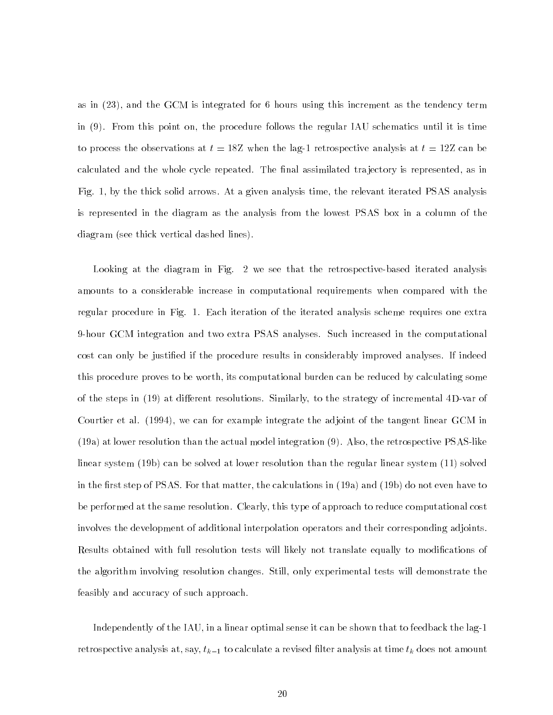as in (23), and the GCM is integrated for 6 hours using this increment as the tendency term in (9). From this point on, the procedure follows the regular IAU schematics until it is time to process the observations at  $t = 18Z$  when the lag-1 retrospective analysis at  $t = 12Z$  can be calculated and the whole cycle repeated. The final assimilated trajectory is represented, as in Fig. 1, by the thick solid arrows. At a given analysis time, the relevant iterated PSAS analysis is represented in the diagram as the analysis from the lowest PSAS box in a column of the diagram (see thick vertical dashed lines).

Looking at the diagram in Fig. 2 we see that the retrospective-based iterated analysis amounts to a considerable increase in computational requirements when compared with the regular procedure in Fig. 1. Each iteration of the iterated analysis scheme requires one extra 9-hour GCM integration and two extra PSAS analyses. Such increased in the computational cost can only be justied if the procedure results in considerably improved analyses. If indeed this procedure proves to be worth, its computational burden can be reduced by calculating some of the steps in (19) at different resolutions. Similarly, to the strategy of incremental 4D-var of Courtier et al. (1994), we can for example integrate the adjoint of the tangent linear GCM in (19a) at lower resolution than the actual model integration (9). Also, the retrospective PSAS-like linear system (19b) can be solved at lower resolution than the regular linear system (11) solved in the first step of PSAS. For that matter, the calculations in  $(19a)$  and  $(19b)$  do not even have to be performed at the same resolution. Clearly, this type of approach to reduce computational cost involves the development of additional interpolation operators and their corresponding adjoints. Results obtained with full resolution tests will likely not translate equally to modifications of the algorithm involving resolution changes. Still, only experimental tests will demonstrate the feasibly and accuracy of such approach.

Independently of the IAU, in a linear optimal sense it can be shown that to feedback the lag-1 retrospective analysis at, say,  $t_{k-1}$  to calculate a revised filter analysis at time  $t_k$  does not amount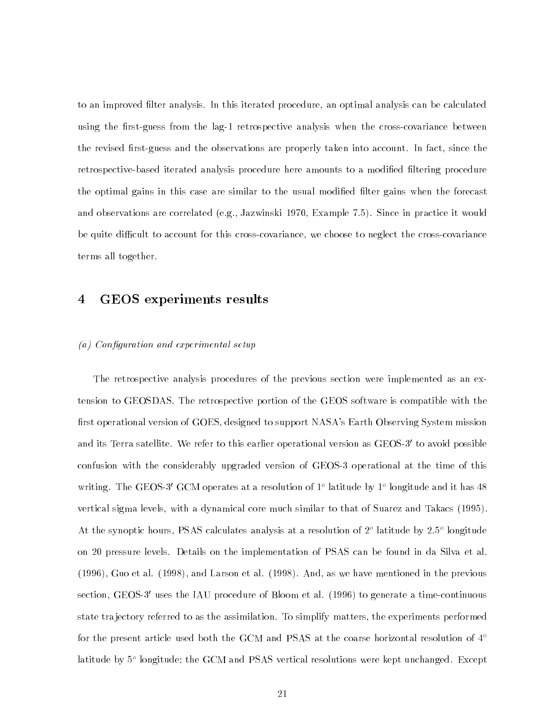to an improved filter analysis. In this iterated procedure, an optimal analysis can be calculated using the first-guess from the lag-1 retrospective analysis when the cross-covariance between the revised first-guess and the observations are properly taken into account. In fact, since the retrospective-based iterated analysis procedure here amounts to a modified filtering procedure the optimal gains in this case are similar to the usual modified filter gains when the forecast and observations are correlated (e.g., Jazwinski 1970, Example 7.5). Since in practice it would be quite difficult to account for this cross-covariance, we choose to neglect the cross-covariance terms all together.

#### 4 GEOS experiments results 4

#### $(a)$  Configuration and experimental setup

The retrospective analysis procedures of the previous section were implemented as an extension to GEOSDAS. The retrospective portion of the GEOS software is compatible with the first operational version of GOES, designed to support NASA's Earth Observing System mission and its Terra satellite. We refer to this earlier operational version as GEOS-3' to avoid possible confusion with the considerably upgraded version of GEOS-3 operational at the time of this writing. The GEOS-3 GOM operates at a resolution of 1<sup>-</sup> fatitude by 1<sup>-</sup> fongitude and it has 48 vertical sigma levels, with a dynamical core much similar to that of Suarez and Takacs (1995). At the synoptic nours, PSAS calculates analysis at a resolution of 2<sup>-</sup> latitude by 2.5° longitude on 20 pressure levels. Details on the implementation of PSAS can be found in da Silva et al. (1996), Guo et al. (1998), and Larson et al. (1998). And, as we have mentioned in the previous section, GEOS-3' uses the IAU procedure of Bloom et al. (1996) to generate a time-continuous state tra jectory referred to as the assimilation. To simplify matters, the experiments performed for the present article used both the GCM and PSAS at the coarse horizontal resolution of  $4^{\circ}$ latitude by 5o longitude; the GCM and PSAS vertical resolutions were kept unchanged. Except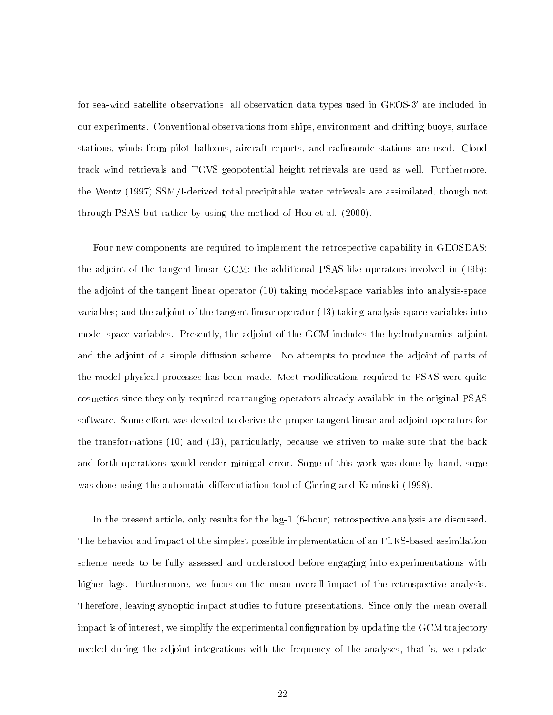for sea-wind satellite observations, all observation data types used in GEOS-3' are included in our experiments. Conventional observations from ships, environment and drifting buoys, surface stations, winds from pilot balloons, aircraft reports, and radiosonde stations are used. Cloud track wind retrievals and TOVS geopotential height retrievals are used as well. Furthermore, the Wentz (1997) SSM/I-derived total precipitable water retrievals are assimilated, though not through PSAS but rather by using the method of Hou et al. (2000).

Four new components are required to implement the retrospective capability in GEOSDAS: the adjoint of the tangent linear GCM; the additional PSAS-like operators involved in (19b); the adjoint of the tangent linear operator (10) taking model-space variables into analysis-space variables; and the adjoint of the tangent linear operator (13) taking analysis-space variables into model-space variables. Presently, the adjoint of the GCM includes the hydrodynamics adjoint and the adjoint of a simple diffusion scheme. No attempts to produce the adjoint of parts of the model physical processes has been made. Most modications required to PSAS were quite cosmetics since they only required rearranging operators already available in the original PSAS software. Some effort was devoted to derive the proper tangent linear and adjoint operators for the transformations (10) and (13), particularly, because we striven to make sure that the back and forth operations would render minimal error. Some of this work was done by hand, some was done using the automatic differentiation tool of Giering and Kaminski (1998).

In the present article, only results for the lag-1 (6-hour) retrospective analysis are discussed. The behavior and impact of the simplest possible implementation of an FLKS-based assimilation scheme needs to be fully assessed and understood before engaging into experimentations with higher lags. Furthermore, we focus on the mean overall impact of the retrospective analysis. Therefore, leaving synoptic impact studies to future presentations. Since only the mean overall impact is of interest, we simplify the experimental configuration by updating the GCM trajectory needed during the adjoint integrations with the frequency of the analyses, that is, we update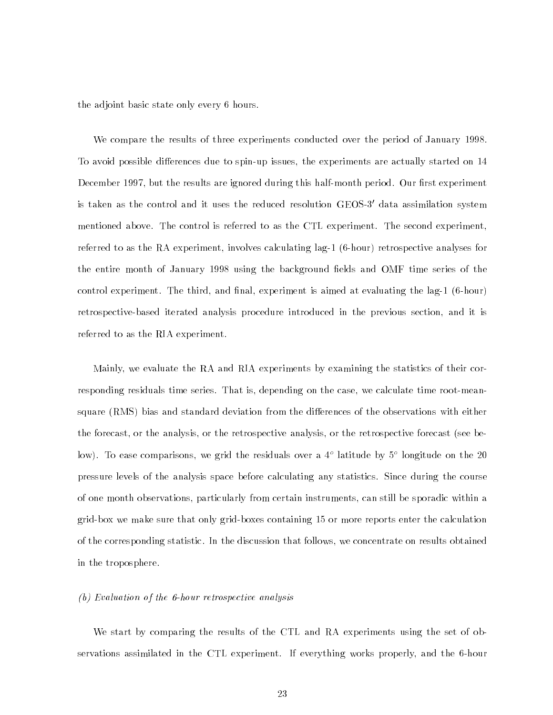the adjoint basic state only every 6 hours.

We compare the results of three experiments conducted over the period of January 1998. To avoid possible differences due to spin-up issues, the experiments are actually started on 14 December 1997, but the results are ignored during this half-month period. Our first experiment is taken as the control and it uses the reduced resolution GEOS-3' data assimilation system mentioned above. The control is referred to as the CTL experiment. The second experiment, referred to as the RA experiment, involves calculating lag-1 (6-hour) retrospective analyses for the entire month of January 1998 using the background fields and OMF time series of the control experiment. The third, and final, experiment is aimed at evaluating the lag-1  $(6 \text{-} hour)$ retrospective-based iterated analysis procedure introduced in the previous section, and it is referred to as the RIA experiment.

Mainly, we evaluate the RA and RIA experiments by examining the statistics of their corresponding residuals time series. That is, depending on the case, we calculate time root-meansquare (RMS) bias and standard deviation from the differences of the observations with either the forecast, or the analysis, or the retrospective analysis, or the retrospective forecast (see below). To ease comparisons, we grid the residuals over a 41 latitude by 51 longitude on the 20 lo pressure levels of the analysis space before calculating any statistics. Since during the course of one month observations, particularly from certain instruments, can still be sporadic within a grid-box we make sure that only grid-boxes containing 15 or more reports enter the calculation of the corresponding statistic. In the discussion that follows, we concentrate on results obtained in the troposphere.

#### (b) Evaluation of the 6-hour retrospective analysis

We start by comparing the results of the CTL and RA experiments using the set of observations assimilated in the CTL experiment. If everything works properly, and the 6-hour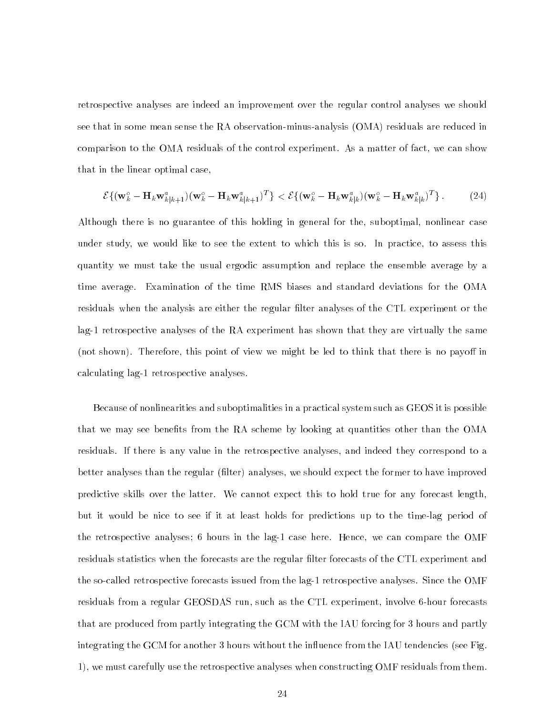retrospective analyses are indeed an improvement over the regular control analyses we should see that in some mean sense the RA observation-minus-analysis (OMA) residuals are reduced in comparison to the OMA residuals of the control experiment. As a matter of fact, we can show that in the linear optimal case,

$$
\mathcal{E}\{(\mathbf{w}_k^o - \mathbf{H}_k \mathbf{w}_{k|k+1}^a)(\mathbf{w}_k^o - \mathbf{H}_k \mathbf{w}_{k|k+1}^a)^T\} < \mathcal{E}\{(\mathbf{w}_k^o - \mathbf{H}_k \mathbf{w}_{k|k}^a)(\mathbf{w}_k^o - \mathbf{H}_k \mathbf{w}_{k|k}^a)^T\}.
$$
 (24)

Although there is no guarantee of this holding in general for the, suboptimal, nonlinear case under study, we would like to see the extent to which this is so. In practice, to assess this quantity we must take the usual ergodic assumption and replace the ensemble average by a time average. Examination of the time RMS biases and standard deviations for the OMA residuals when the analysis are either the regular filter analyses of the CTL experiment or the lag-1 retrospective analyses of the RA experiment has shown that they are virtually the same (not shown). Therefore, this point of view we might be led to think that there is no payoff in calculating lag-1 retrospective analyses.

Because of nonlinearities and suboptimalities in a practical system such as GEOS it is possible that we may see benefits from the RA scheme by looking at quantities other than the OMA residuals. If there is any value in the retrospective analyses, and indeed they correspond to a better analyses than the regular (filter) analyses, we should expect the former to have improved predictive skills over the latter. We cannot expect this to hold true for any forecast length, but it would be nice to see if it at least holds for predictions up to the time-lag period of the retrospective analyses; 6 hours in the lag-1 case here. Hence, we can compare the OMF residuals statistics when the forecasts are the regular filter forecasts of the CTL experiment and the so-called retrospective forecasts issued from the lag-1 retrospective analyses. Since the OMF residuals from a regular GEOSDAS run, such as the CTL experiment, involve 6-hour forecasts that are produced from partly integrating the GCM with the IAU forcing for 3 hours and partly integrating the GCM for another 3 hours without the influence from the IAU tendencies (see Fig. 1), we must carefully use the retrospective analyses when constructing OMF residuals from them.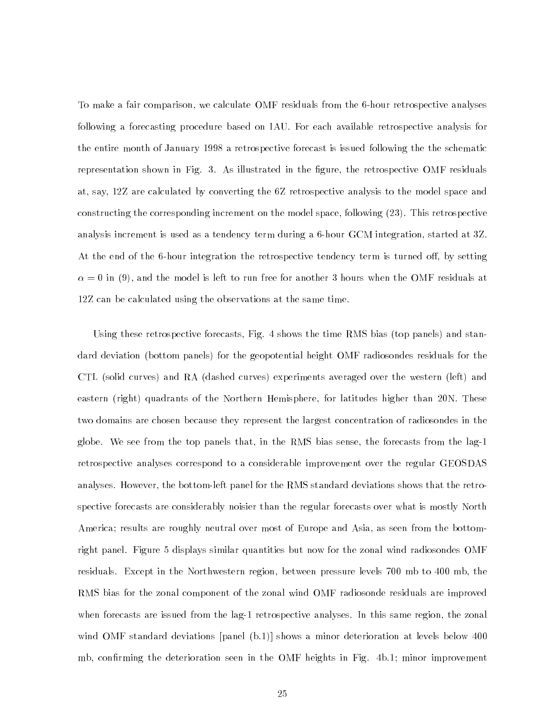To make a fair comparison, we calculate OMF residuals from the 6-hour retrospective analyses following a forecasting procedure based on IAU. For each available retrospective analysis for the entire month of January 1998 a retrospective forecast is issued following the the schematic representation shown in Fig. 3. As illustrated in the figure, the retrospective OMF residuals at, say, 12Z are calculated by converting the 6Z retrospective analysis to the model space and constructing the corresponding increment on the model space, following (23). This retrospective analysis increment is used as a tendency term during a 6-hour GCM integration, started at 3Z. At the end of the 6-hour integration the retrospective tendency term is turned off, by setting  $\alpha$  = 0 in (9), which the model is left to run free for whother 9 hours when the OMF residuals at 12Z can be calculated using the observations at the same time.

Using these retrospective forecasts, Fig. 4 shows the time RMS bias (top panels) and standard deviation (bottom panels) for the geopotential height OMF radiosondes residuals for the CTL (solid curves) and RA (dashed curves) experiments averaged over the western (left) and eastern (right) quadrants of the Northern Hemisphere, for latitudes higher than 20N. These two domains are chosen because they represent the largest concentration of radiosondes in the globe. We see from the top panels that, in the RMS bias sense, the forecasts from the lag-1 retrospective analyses correspond to a considerable improvement over the regular GEOSDAS analyses. However, the bottom-left panel for the RMS standard deviations shows that the retrospective forecasts are considerably noisier than the regular forecasts over what is mostly North America; results are roughly neutral over most of Europe and Asia, as seen from the bottomright panel. Figure 5 displays similar quantities but now for the zonal wind radiosondes OMF residuals. Except in the Northwestern region, between pressure levels 700 mb to 400 mb, the RMS bias for the zonal component of the zonal wind OMF radiosonde residuals are improved when forecasts are issued from the lag-1 retrospective analyses. In this same region, the zonal wind OMF standard deviations [panel (b.1)] shows a minor deterioration at levels below 400 mb, confirming the deterioration seen in the OMF heights in Fig. 4b.1; minor improvement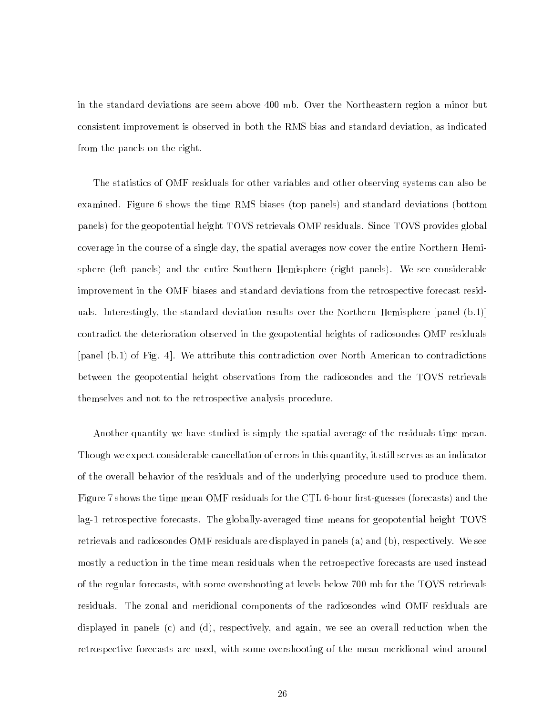in the standard deviations are seem above 400 mb. Over the Northeastern region a minor but consistent improvement is observed in both the RMS bias and standard deviation, as indicated from the panels on the right.

The statistics of OMF residuals for other variables and other observing systems can also be examined. Figure 6 shows the time RMS biases (top panels) and standard deviations (bottom panels) for the geopotential height TOVS retrievals OMF residuals. Since TOVS provides global coverage in the course of a single day, the spatial averages now cover the entire Northern Hemisphere (left panels) and the entire Southern Hemisphere (right panels). We see considerable improvement in the OMF biases and standard deviations from the retrospective forecast residuals. Interestingly, the standard deviation results over the Northern Hemisphere [panel (b.1)] contradict the deterioration observed in the geopotential heights of radiosondes OMF residuals [panel (b.1) of Fig. 4]. We attribute this contradiction over North American to contradictions between the geopotential height observations from the radiosondes and the TOVS retrievals themselves and not to the retrospective analysis procedure.

Another quantity we have studied is simply the spatial average of the residuals time mean. Though we expect considerable cancellation of errors in this quantity, it still serves as an indicator of the overall behavior of the residuals and of the underlying procedure used to produce them. Figure 7 shows the time mean OMF residuals for the CTL 6-hour first-guesses (forecasts) and the lag-1 retrospective forecasts. The globally-averaged time means for geopotential height TOVS retrievals and radiosondes OMF residuals are displayed in panels (a) and (b), respectively. We see mostly a reduction in the time mean residuals when the retrospective forecasts are used instead of the regular forecasts, with some overshooting at levels below 700 mb for the TOVS retrievals residuals. The zonal and meridional components of the radiosondes wind OMF residuals are displayed in panels (c) and (d), respectively, and again, we see an overall reduction when the retrospective forecasts are used, with some overshooting of the mean meridional wind around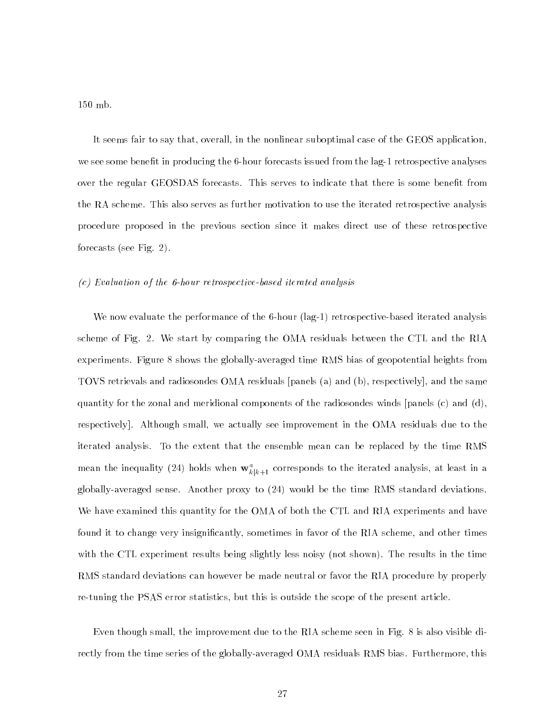150 mb.

It seems fair to say that, overall, in the nonlinear suboptimal case of the GEOS application, we see some benefit in producing the 6-hour forecasts issued from the lag-1 retrospective analyses over the regular GEOSDAS forecasts. This serves to indicate that there is some benefit from the RA scheme. This also serves as further motivation to use the iterated retrospective analysis procedure proposed in the previous section since it makes direct use of these retrospective forecasts (see Fig. 2).

#### (c) Evaluation of the 6-hour retrospective-based iterated analysis

We now evaluate the performance of the 6-hour (lag-1) retrospective-based iterated analysis scheme of Fig. 2. We start by comparing the OMA residuals between the CTL and the RIA experiments. Figure 8 shows the globally-averaged time RMS bias of geopotential heights from TOVS retrievals and radiosondes OMA residuals [panels (a) and (b), respectively], and the same quantity for the zonal and meridional components of the radiosondes winds [panels (c) and (d), respectively]. Although small, we actually see improvement in the OMA residuals due to the iterated analysis. To the extent that the ensemble mean can be replaced by the time RMS mean the inequality (24) holds when  $\mathbf{w}_{k|k+1}^-$  corresponds to the iterated analysis, at least in a globally-averaged sense. Another proxy to (24) would be the time RMS standard deviations. We have examined this quantity for the OMA of both the CTL and RIA experiments and have found it to change very insignicantly, sometimes in favor of the RIA scheme, and other times with the CTL experiment results being slightly less noisy (not shown). The results in the time RMS standard deviations can however be made neutral or favor the RIA procedure by properly re-tuning the PSAS error statistics, but this is outside the scope of the present article.

Even though small, the improvement due to the RIA scheme seen in Fig. 8 is also visible directly from the time series of the globally-averaged OMA residuals RMS bias. Furthermore, this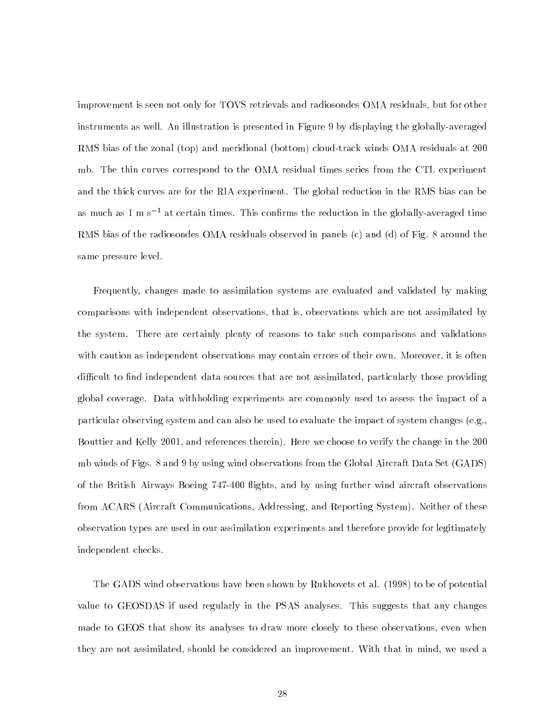improvement is seen not only for TOVS retrievals and radiosondes OMA residuals, but for other instruments as well. An illustration is presented in Figure 9 by displaying the globally-averaged RMS bias of the zonal (top) and meridional (bottom) cloud-track winds OMA residuals at 200 mb. The thin curves correspond to the OMA residual times series from the CTL experiment and the thick curves are for the RIA experiment. The global reduction in the RMS bias can be as much as  $1 \text{ m s}^{-1}$  at certain times. This confirms the reduction in the globally-averaged time RMS bias of the radiosondes OMA residuals observed in panels (c) and (d) of Fig. 8 around the same pressure level.

Frequently, changes made to assimilation systems are evaluated and validated by making comparisons with independent observations, that is, observations which are not assimilated by the system. There are certainly plenty of reasons to take such comparisons and validations with caution as independent observations may contain errors of their own. Moreover, it is often difficult to find independent data sources that are not assimilated, particularly those providing global coverage. Data withholding experiments are commonly used to assess the impact of a particular observing system and can also be used to evaluate the impact of system changes (e.g., Bouttier and Kelly 2001, and references therein). Here we choose to verify the change in the 200 mb winds of Figs. 8 and 9 by using wind observations from the Global Aircraft Data Set (GADS) of the British Airways Boeing 747-400 flights, and by using further wind aircraft observations from ACARS (Aircraft Communications, Addressing, and Reporting System). Neither of these observation types are used in our assimilation experiments and therefore provide for legitimately independent checks.

The GADS wind observations have been shown by Rukhovets et al. (1998) to be of potential value to GEOSDAS if used regularly in the PSAS analyses. This suggests that any changes made to GEOS that show its analyses to draw more closely to these observations, even when they are not assimilated, should be considered an improvement. With that in mind, we used a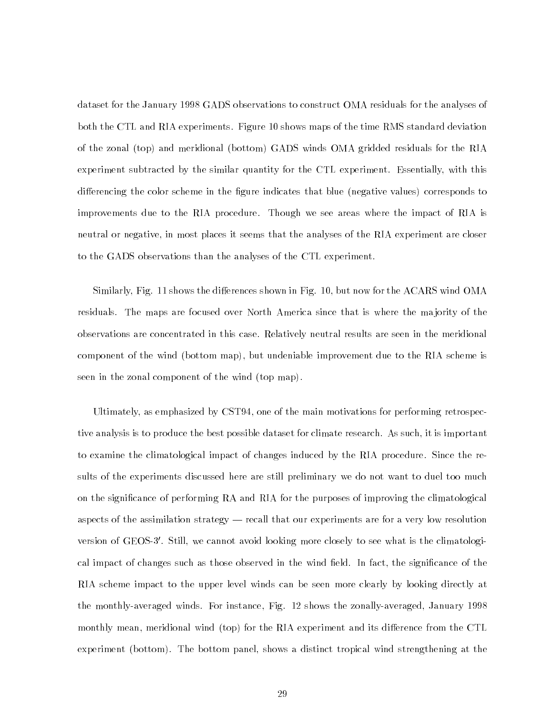dataset for the January 1998 GADS observations to construct OMA residuals for the analyses of both the CTL and RIA experiments. Figure 10 shows maps of the time RMS standard deviation of the zonal (top) and meridional (bottom) GADS winds OMA gridded residuals for the RIA experiment subtracted by the similar quantity for the CTL experiment. Essentially, with this differencing the color scheme in the figure indicates that blue (negative values) corresponds to improvements due to the RIA procedure. Though we see areas where the impact of RIA is neutral or negative, in most places it seems that the analyses of the RIA experiment are closer to the GADS observations than the analyses of the CTL experiment.

Similarly, Fig. 11 shows the differences shown in Fig. 10, but now for the ACARS wind OMA residuals. The maps are focused over North America since that is where the majority of the observations are concentrated in this case. Relatively neutral results are seen in the meridional component of the wind (bottom map), but undeniable improvement due to the RIA scheme is seen in the zonal component of the wind (top map).

Ultimately, as emphasized by CST94, one of the main motivations for performing retrospective analysis is to produce the best possible dataset for climate research. As such, it is important to examine the climatological impact of changes induced by the RIA procedure. Since the results of the experiments discussed here are still preliminary we do not want to duel too much on the signicance of performing RA and RIA for the purposes of improving the climatological aspects of the assimilation strategy — recall that our experiments are for a very low resolution version of GEOS-3'. Still, we cannot avoid looking more closely to see what is the climatological impact of changes such as those observed in the wind field. In fact, the significance of the RIA scheme impact to the upper level winds can be seen more clearly by looking directly at the monthly-averaged winds. For instance, Fig. 12 shows the zonally-averaged, January 1998 monthly mean, meridional wind (top) for the RIA experiment and its difference from the CTL experiment (bottom). The bottom panel, shows a distinct tropical wind strengthening at the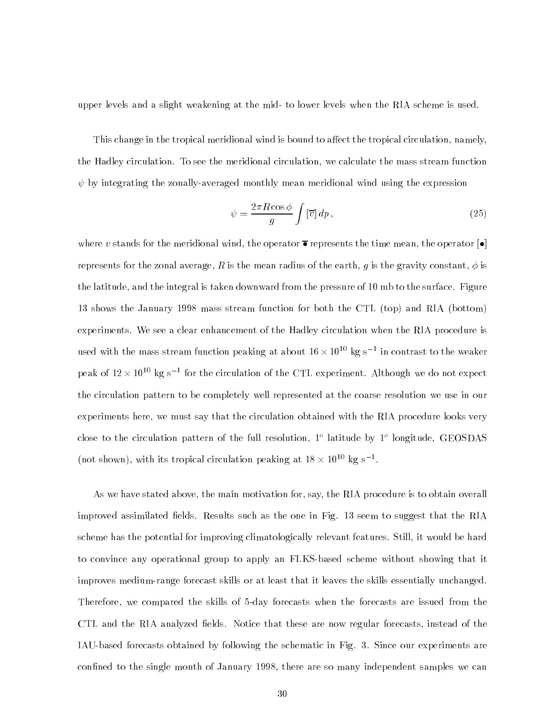upper levels and a slight weakening at the mid- to lower levels when the RIA scheme is used.

This change in the tropical meridional wind is bound to affect the tropical circulation, namely, the Hadley circulation. To see the meridional circulation, we calculate the mass stream function  $\psi$  by integrating the zonally-averaged monthly mean meridional wind using the expression

$$
\psi = \frac{2\pi R \cos \phi}{g} \int \left[\overline{v}\right] dp \,,\tag{25}
$$

where v stands for the meridional wind, the operator  $\overline{\bullet}$  represents the time mean, the operator  $\bullet$ represents for the zonal average, R is the mean radius of the earth, g is the gravity constant,  $\phi$  is the latitude, and the integral is taken downward from the pressure of 10 mb to the surface. Figure 13 shows the January 1998 mass stream function for both the CTL (top) and RIA (bottom) experiments. We see a clear enhancement of the Hadley circulation when the RIA procedure is used with the mass stream function peaking at about 10  $\times$  10  $^{\circ}$  kg s  $^{-}$  in contrast to the weaker  $^{-}$ peak of 12  $\times$  10 $^{++}$  kg s  $^{-}$  for the circulation of the CTL experiment. Although we do not expect the circulation pattern to be completely well represented at the coarse resolution we use in our experiments here, we must say that the circulation obtained with the RIA procedure looks very close to the circulation pattern of the full resolution, I flatitude by I foligitude, GEOSDAS  $(100 \text{ s} \cdot 10^{-10} \text{ kg/s}^{-1})$ . With its tropical circulation peaking at 18  $\times$  10  $^{-1}$  Kg s  $^{-1}$ .

As we have stated above, the main motivation for, say, the RIA procedure is to obtain overall improved assimilated fields. Results such as the one in Fig. 13 seem to suggest that the RIA scheme has the potential for improving climatologically relevant features. Still, it would be hard to convince any operational group to apply an FLKS-based scheme without showing that it improves medium-range forecast skills or at least that it leaves the skills essentially unchanged. Therefore, we compared the skills of 5-day forecasts when the forecasts are issued from the CTL and the RIA analyzed fields. Notice that these are now regular forecasts, instead of the IAU-based forecasts obtained by following the schematic in Fig. 3. Since our experiments are confined to the single month of January 1998, there are so many independent samples we can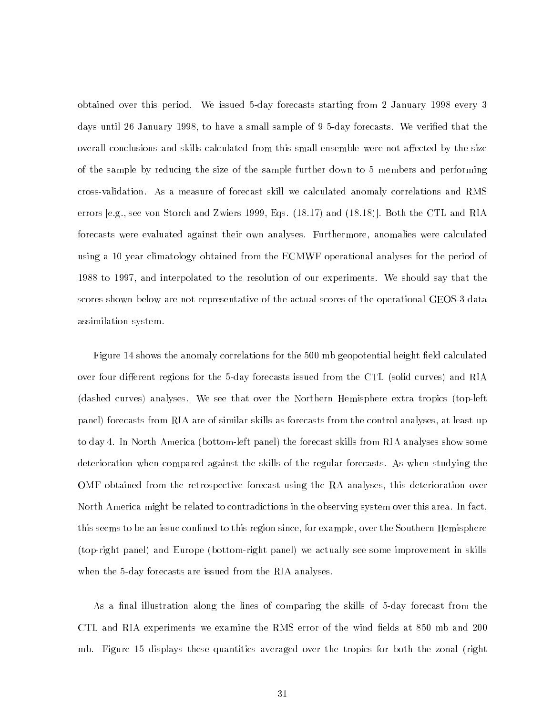obtained over this period. We issued 5-day forecasts starting from 2 January 1998 every 3 days until 26 January 1998, to have a small sample of 9 5-day forecasts. We veried that the overall conclusions and skills calculated from this small ensemble were not affected by the size of the sample by reducing the size of the sample further down to 5 members and performing cross-validation. As a measure of forecast skill we calculated anomaly correlations and RMS errors [e.g., see von Storch and Zwiers 1999, Eqs. (18.17) and (18.18)]. Both the CTL and RIA forecasts were evaluated against their own analyses. Furthermore, anomalies were calculated using a 10 year climatology obtained from the ECMWF operational analyses for the period of 1988 to 1997, and interpolated to the resolution of our experiments. We should say that the scores shown below are not representative of the actual scores of the operational GEOS-3 data assimilation system.

Figure 14 shows the anomaly correlations for the 500 mb geopotential height field calculated over four different regions for the 5-day forecasts issued from the CTL (solid curves) and RIA (dashed curves) analyses. We see that over the Northern Hemisphere extra tropics (top-left panel) forecasts from RIA are of similar skills as forecasts from the control analyses, at least up to day 4. In North America (bottom-left panel) the forecast skills from RIA analyses show some deterioration when compared against the skills of the regular forecasts. As when studying the OMF obtained from the retrospective forecast using the RA analyses, this deterioration over North America might be related to contradictions in the observing system over this area. In fact, this seems to be an issue confined to this region since, for example, over the Southern Hemisphere (top-right panel) and Europe (bottom-right panel) we actually see some improvement in skills when the 5-day forecasts are issued from the RIA analyses.

As a final illustration along the lines of comparing the skills of 5-day forecast from the CTL and RIA experiments we examine the RMS error of the wind fields at 850 mb and 200 mb. Figure 15 displays these quantities averaged over the tropics for both the zonal (right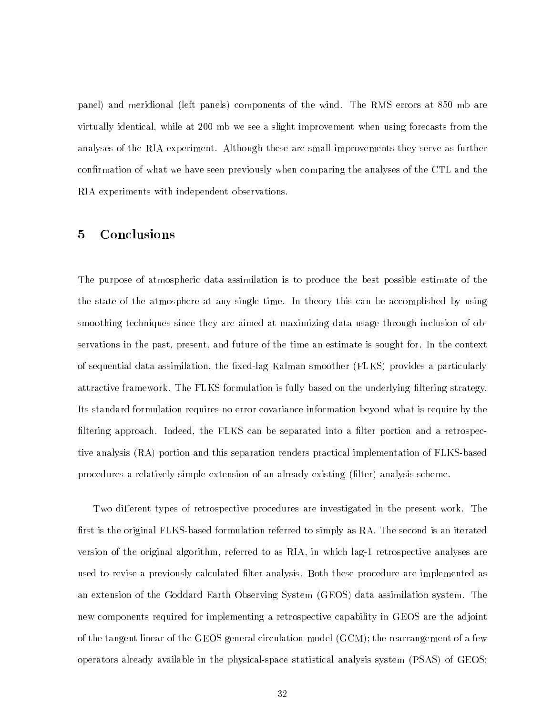panel) and meridional (left panels) components of the wind. The RMS errors at 850 mb are virtually identical, while at 200 mb we see a slight improvement when using forecasts from the analyses of the RIA experiment. Although these are small improvements they serve as further confirmation of what we have seen previously when comparing the analyses of the CTL and the RIA experiments with independent observations.

#### $\overline{5}$ **Conclusions**

The purpose of atmospheric data assimilation is to produce the best possible estimate of the the state of the atmosphere at any single time. In theory this can be accomplished by using smoothing techniques since they are aimed at maximizing data usage through inclusion of observations in the past, present, and future of the time an estimate is sought for. In the context of sequential data assimilation, the fixed-lag Kalman smoother (FLKS) provides a particularly attractive framework. The FLKS formulation is fully based on the underlying filtering strategy. Its standard formulation requires no error covariance information beyond what is require by the filtering approach. Indeed, the FLKS can be separated into a filter portion and a retrospective analysis (RA) portion and this separation renders practical implementation of FLKS-based procedures a relatively simple extension of an already existing (filter) analysis scheme.

Two different types of retrospective procedures are investigated in the present work. The first is the original FLKS-based formulation referred to simply as RA. The second is an iterated version of the original algorithm, referred to as RIA, in which lag-1 retrospective analyses are used to revise a previously calculated lter analysis. Both these procedure are implemented as an extension of the Goddard Earth Observing System (GEOS) data assimilation system. The new components required for implementing a retrospective capability in GEOS are the adjoint of the tangent linear of the GEOS general circulation model (GCM); the rearrangement of a few operators already available in the physical-space statistical analysis system (PSAS) of GEOS;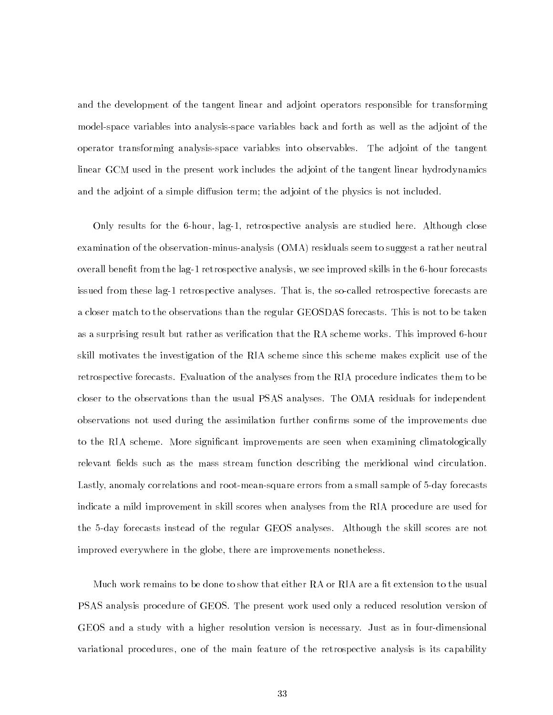and the development of the tangent linear and adjoint operators responsible for transforming model-space variables into analysis-space variables back and forth as well as the adjoint of the operator transforming analysis-space variables into observables. The adjoint of the tangent linear GCM used in the present work includes the adjoint of the tangent linear hydrodynamics and the adjoint of a simple diffusion term; the adjoint of the physics is not included.

Only results for the 6-hour, lag-1, retrospective analysis are studied here. Although close examination of the observation-minus-analysis (OMA) residuals seem to suggest a rather neutral overall benet from the lag-1 retrospective analysis, we see improved skills in the 6-hour forecasts issued from these lag-1 retrospective analyses. That is, the so-called retrospective forecasts are a closer match to the observations than the regular GEOSDAS forecasts. This is not to be taken as a surprising result but rather as verification that the RA scheme works. This improved 6-hour skill motivates the investigation of the RIA scheme since this scheme makes explicit use of the retrospective forecasts. Evaluation of the analyses from the RIA procedure indicates them to be closer to the observations than the usual PSAS analyses. The OMA residuals for independent observations not used during the assimilation further confirms some of the improvements due to the RIA scheme. More significant improvements are seen when examining climatologically relevant fields such as the mass stream function describing the meridional wind circulation. Lastly, anomaly correlations and root-mean-square errors from a small sample of 5-day forecasts indicate a mild improvement in skill scores when analyses from the RIA procedure are used for the 5-day forecasts instead of the regular GEOS analyses. Although the skill scores are not improved everywhere in the globe, there are improvements nonetheless.

Much work remains to be done to show that either RA or RIA are a fit extension to the usual PSAS analysis procedure of GEOS. The present work used only a reduced resolution version of GEOS and a study with a higher resolution version is necessary. Just as in four-dimensional variational procedures, one of the main feature of the retrospective analysis is its capability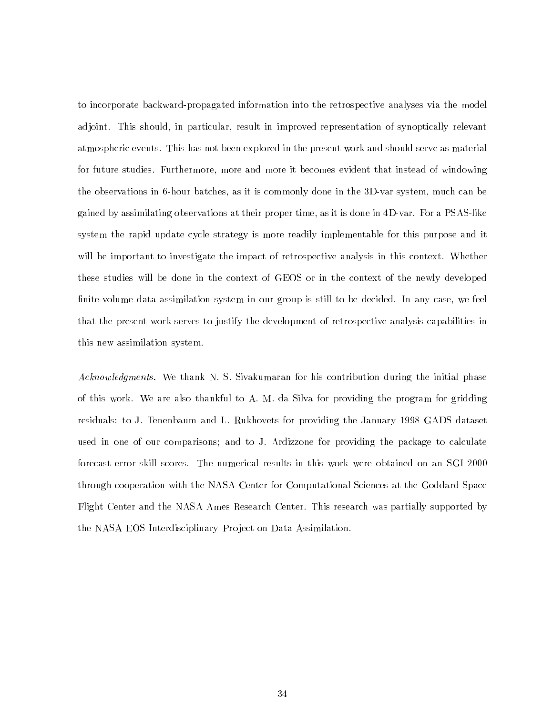to incorporate backward-propagated information into the retrospective analyses via the model adjoint. This should, in particular, result in improved representation of synoptically relevant atmospheric events. This has not been explored in the present work and should serve as material for future studies. Furthermore, more and more it becomes evident that instead of windowing the observations in 6-hour batches, as it is commonly done in the 3D-var system, much can be gained by assimilating observations at their proper time, as it is done in 4D-var. For a PSAS-like system the rapid update cycle strategy is more readily implementable for this purpose and it will be important to investigate the impact of retrospective analysis in this context. Whether these studies will be done in the context of GEOS or in the context of the newly developed nite-volume data assimilation system in our group is still to be decided. In any case, we feel that the present work serves to justify the development of retrospective analysis capabilities in this new assimilation system.

Acknowledgments. We thank N. S. Sivakumaran for his contribution during the initial phase of this work. We are also thankful to A. M. da Silva for providing the program for gridding residuals; to J. Tenenbaum and L. Rukhovets for providing the January 1998 GADS dataset used in one of our comparisons; and to J. Ardizzone for providing the package to calculate forecast error skill scores. The numerical results in this work were obtained on an SGI 2000 through cooperation with the NASA Center for Computational Sciences at the Goddard Space Flight Center and the NASA Ames Research Center. This research was partially supported by the NASA EOS Interdisciplinary Pro ject on Data Assimilation.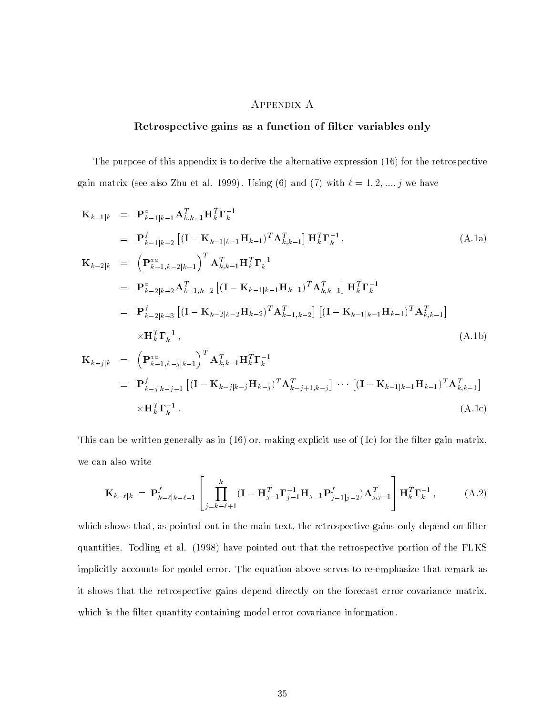### Appendix A

### Retrospective gains as a function of filter variables only

The purpose of this appendix is to derive the alternative expression (16) for the retrospective gain matrix (see also Zhu et al. 1999). Using (6) and (7) with  $\ell = 1, 2, ..., j$  we have

$$
\mathbf{K}_{k-1|k} = \mathbf{P}_{k-1|k-1}^{a} \mathbf{A}_{k,k-1}^{T} \mathbf{H}_{k}^{T} \mathbf{\Gamma}_{k}^{-1}
$$
\n
$$
= \mathbf{P}_{k-1|k-2}^{f} \left[ (\mathbf{I} - \mathbf{K}_{k-1|k-1} \mathbf{H}_{k-1})^{T} \mathbf{A}_{k,k-1}^{T} \right] \mathbf{H}_{k}^{T} \mathbf{\Gamma}_{k}^{-1}, \qquad (A.1a)
$$
\n
$$
\mathbf{K}_{k-2|k} = \left( \mathbf{P}_{k-1,k-2|k-1}^{aa} \right)^{T} \mathbf{A}_{k,k-1}^{T} \mathbf{H}_{k}^{T} \mathbf{\Gamma}_{k}^{-1}
$$
\n
$$
= \mathbf{P}_{k-2|k-2}^{a} \mathbf{A}_{k-1,k-2}^{T} \left[ (\mathbf{I} - \mathbf{K}_{k-1|k-1} \mathbf{H}_{k-1})^{T} \mathbf{A}_{k,k-1}^{T} \right] \mathbf{H}_{k}^{T} \mathbf{\Gamma}_{k}^{-1}
$$
\n
$$
= \mathbf{P}_{k-2|k-3}^{f} \left[ (\mathbf{I} - \mathbf{K}_{k-2|k-2} \mathbf{H}_{k-2})^{T} \mathbf{A}_{k-1,k-2}^{T} \right] \left[ (\mathbf{I} - \mathbf{K}_{k-1|k-1} \mathbf{H}_{k-1})^{T} \mathbf{A}_{k,k-1}^{T} \right]
$$
\n
$$
\times \mathbf{H}_{k}^{T} \mathbf{\Gamma}_{k}^{-1}, \qquad (A.1b)
$$
\n
$$
\mathbf{K}_{k-j|k} = \left( \mathbf{P}_{k-1,k-j|k-1}^{aa} \right)^{T} \mathbf{A}_{k,k-1}^{T} \mathbf{H}_{k}^{T} \mathbf{\Gamma}_{k}^{-1}
$$
\n
$$
= \mathbf{P}_{k-j|k-j-1}^{f} \left[ (\mathbf{I} - \mathbf{K}_{k-j|k-j} \mathbf{H}_{k-j})^{T} \mathbf{A}_{k-j+1,k-j}^{T} \right] \cdots \left[ (\mathbf{I} - \mathbf{K}_{k-1|k-1} \mathbf{H}_{k-
$$

This can be written generally as in  $(16)$  or, making explicit use of  $(1c)$  for the filter gain matrix, we can also write

$$
\mathbf{K}_{k-\ell|k} = \mathbf{P}_{k-\ell|k-\ell-1}^f \left[ \prod_{j=k-\ell+1}^k (\mathbf{I} - \mathbf{H}_{j-1}^T \mathbf{\Gamma}_{j-1}^{-1} \mathbf{H}_{j-1} \mathbf{P}_{j-1|j-2}^f) \mathbf{A}_{j,j-1}^T \right] \mathbf{H}_k^T \mathbf{\Gamma}_k^{-1}, \tag{A.2}
$$

which shows that, as pointed out in the main text, the retrospective gains only depend on filter quantities. Todling et al. (1998) have pointed out that the retrospective portion of the FLKS implicitly accounts for model error. The equation above serves to re-emphasize that remark as it shows that the retrospective gains depend directly on the forecast error covariance matrix, which is the filter quantity containing model error covariance information.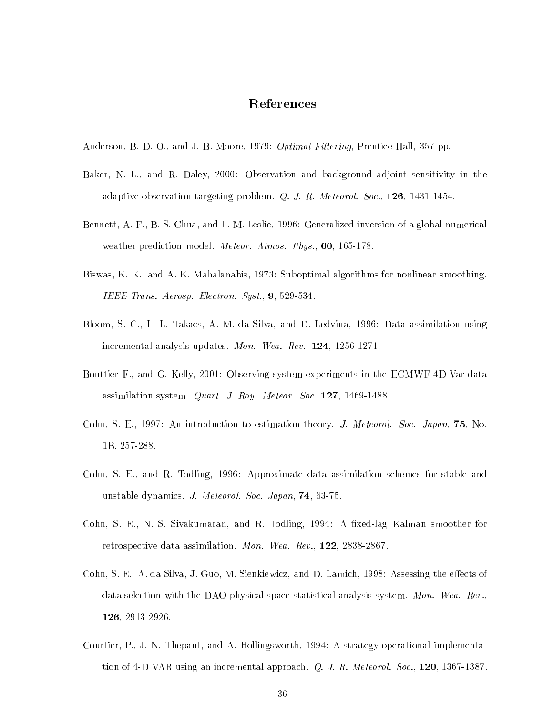## References

- Anderson, B. D. O., and J. B. Moore, 1979: *Optimal Filtering*, Prentice-Hall, 357 pp.
- Baker, N. L., and R. Daley, 2000: Observation and background adjoint sensitivity in the adaptive observation-targeting problem. Q. J. R. Meteorol. Soc., 126, 1431-1454.
- Bennett, A. F., B. S. Chua, and L. M. Leslie, 1996: Generalized inversion of a global numerical weather prediction model. Meteor. Atmos. Phys., 60, 165-178.
- Biswas, K. K., and A. K. Mahalanabis, 1973: Suboptimal algorithms for nonlinear smoothing. IEEE Trans. Aerosp. Electron. Syst., 9, 529-534.
- Bloom, S. C., L. L. Takacs, A. M. da Silva, and D. Ledvina, 1996: Data assimilation using incremental analysis updates. Mon. Wea. Rev., 124, 1256-1271.
- Bouttier F., and G. Kelly, 2001: Observing-system experiments in the ECMWF 4D-Var data assimilation system. Quart. J. Roy. Meteor. Soc. 127, 1469-1488.
- Cohn, S. E., 1997: An introduction to estimation theory. J. Meteorol. Soc. Japan, 75, No. 1B, 257-288.
- Cohn, S. E., and R. Todling, 1996: Approximate data assimilation schemes for stable and unstable dynamics. J. Meteorol. Soc. Japan, 74, 63-75.
- Cohn, S. E., N. S. Sivakumaran, and R. Todling, 1994: A fixed-lag Kalman smoother for retrospective data assimilation. Mon. Wea. Rev., 122, 2838-2867.
- Cohn, S. E., A. da Silva, J. Guo, M. Sienkiewicz, and D. Lamich, 1998: Assessing the effects of data selection with the DAO physical-space statistical analysis system. Mon. Wea. Rev., 126, 2913-2926.
- Courtier, P., J.-N. Thepaut, and A. Hollingsworth, 1994: A strategy operational implementation of 4-D VAR using an incremental approach. Q. J. R. Meteorol. Soc., 120, 1367-1387.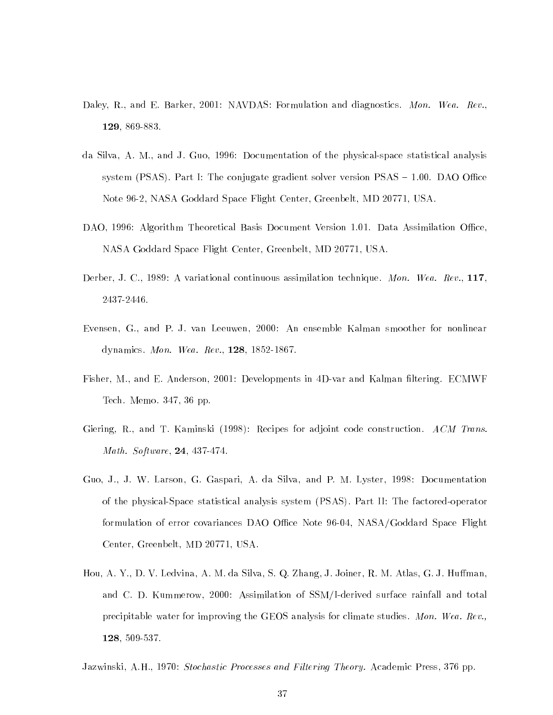- Daley, R., and E. Barker, 2001: NAVDAS: Formulation and diagnostics. Mon. Wea. Rev., 129, 869-883.
- da Silva, A. M., and J. Guo, 1996: Documentation of the physical-space statistical analysis system (PSAS). Part I: The conjugate gradient solver version  $PSAS - 1.00$ . DAO Office Note 96-2, NASA Goddard Space Flight Center, Greenbelt, MD 20771, USA.
- DAO, 1996: Algorithm Theoretical Basis Document Version 1.01. Data Assimilation Office, NASA Goddard Space Flight Center, Greenbelt, MD 20771, USA.
- Derber, J. C., 1989: A variational continuous assimilation technique. Mon. Wea. Rev., 117, 2437-2446.
- Evensen, G., and P. J. van Leeuwen, 2000: An ensemble Kalman smoother for nonlinear dynamics. Mon. Wea. Rev., 128, 1852-1867.
- Fisher, M., and E. Anderson, 2001: Developments in 4D-var and Kalman filtering. ECMWF Tech. Memo. 347, 36 pp.
- Giering, R., and T. Kaminski (1998): Recipes for adjoint code construction. ACM Trans. Math. Software, 24, 437-474.
- Guo, J., J. W. Larson, G. Gaspari, A. da Silva, and P. M. Lyster, 1998: Documentation of the physical-Space statistical analysis system (PSAS). Part II: The factored-operator formulation of error covariances DAO Office Note 96-04, NASA/Goddard Space Flight Center, Greenbelt, MD 20771, USA.
- Hou, A. Y., D. V. Ledvina, A. M. da Silva, S. Q. Zhang, J. Joiner, R. M. Atlas, G. J. Huffman, and C. D. Kummerow, 2000: Assimilation of SSM/I-derived surface rainfall and total precipitable water for improving the GEOS analysis for climate studies. Mon. Wea. Rev., 128, 509-537.

Jazwinski, A.H., 1970: Stochastic Processes and Filtering Theory. Academic Press, 376 pp.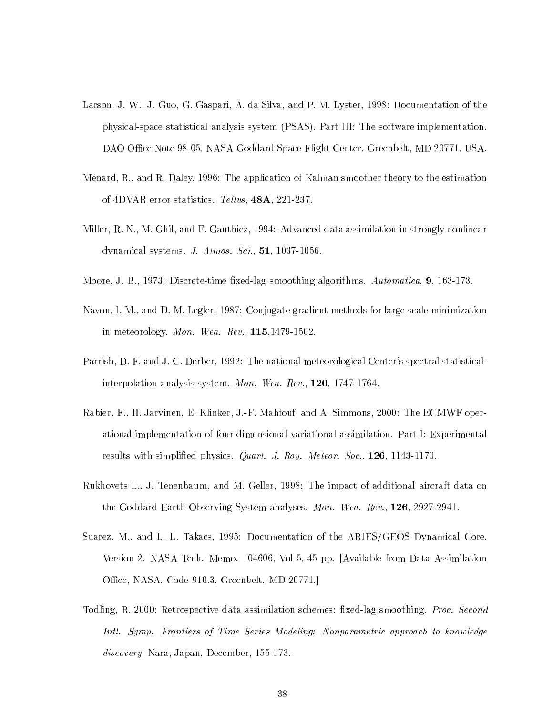- Larson, J. W., J. Guo, G. Gaspari, A. da Silva, and P. M. Lyster, 1998: Documentation of the physical-space statistical analysis system (PSAS). Part III: The software implementation. DAO Office Note 98-05, NASA Goddard Space Flight Center, Greenbelt, MD 20771, USA.
- Menard, R., and R. Daley, 1996: The application of Kalman smoother theory to the estimation of 4DVAR error statistics. Tellus, 48A, 221-237.
- Miller, R. N., M. Ghil, and F. Gauthiez, 1994: Advanced data assimilation in strongly nonlinear dynamical systems. J. Atmos. Sci., 51, 1037-1056.
- Moore, J. B., 1973: Discrete-time fixed-lag smoothing algorithms. Automatica, 9, 163-173.
- Navon, I. M., and D. M. Legler, 1987: Conjugate gradient methods for large scale minimization in meteorology. Mon. Wea. Rev., 115,1479-1502.
- Parrish, D. F. and J. C. Derber, 1992: The national meteorological Center's spectral statisticalinterpolation analysis system. Mon. Wea. Rev., 120, 1747-1764.
- Rabier, F., H. Jarvinen, E. Klinker, J.-F. Mahfouf, and A. Simmons, 2000: The ECMWF operational implementation of four dimensional variational assimilation. Part I: Experimental results with simplified physics. Quart. J. Roy. Meteor. Soc., 126, 1143-1170.
- Rukhovets L., J. Tenenbaum, and M. Geller, 1998: The impact of additional aircraft data on the Goddard Earth Observing System analyses. Mon. Wea. Rev., 126, 2927-2941.
- Suarez, M., and L. L. Takacs, 1995: Documentation of the ARIES/GEOS Dynamical Core, Version 2. NASA Tech. Memo. 104606, Vol 5, 45 pp. [Available from Data Assimilation Office, NASA, Code 910.3, Greenbelt, MD 20771.]
- Todling, R. 2000: Retrospective data assimilation schemes: fixed-lag smoothing. *Proc. Second* Intl. Symp. Frontiers of Time Series Modeling: Nonparametric approach to knowledge discovery, Nara, Japan, December, 155-173.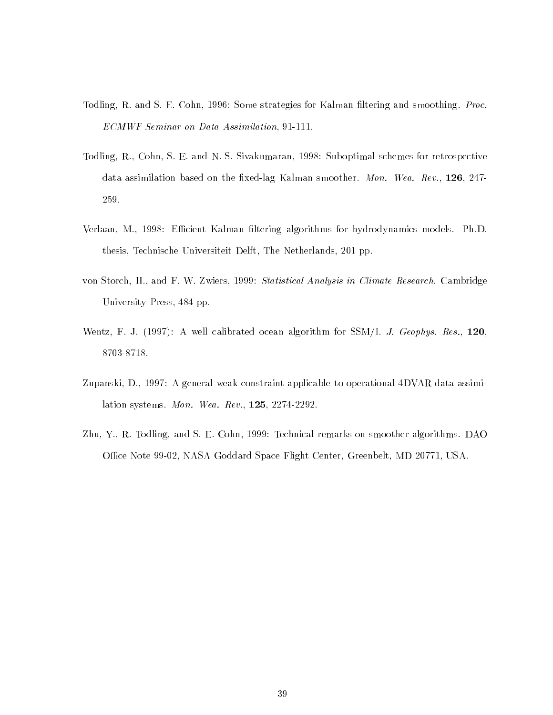- Todling, R. and S. E. Cohn, 1996: Some strategies for Kalman filtering and smoothing. *Proc.* ECMWF Seminar on Data Assimilation, 91-111.
- Todling, R., Cohn, S. E. and N. S. Sivakumaran, 1998: Suboptimal schemes for retrospective data assimilation based on the fixed-lag Kalman smoother. Mon. Wea. Rev., 126, 247-259.
- Verlaan, M., 1998: Efficient Kalman filtering algorithms for hydrodynamics models. Ph.D. thesis, Technische Universiteit Delft, The Netherlands, 201 pp.
- von Storch, H., and F. W. Zwiers, 1999: Statistical Analysis in Climate Research. Cambridge University Press, 484 pp.
- Wentz, F. J. (1997): A well calibrated ocean algorithm for  $SSM/I$ . *J. Geophys. Res.*, 120, 8703-8718.
- Zupanski, D., 1997: A general weak constraint applicable to operational 4DVAR data assimilation systems. Mon. Wea. Rev., 125, 2274-2292.
- Zhu, Y., R. Todling, and S. E. Cohn, 1999: Technical remarks on smoother algorithms. DAO Office Note 99-02, NASA Goddard Space Flight Center, Greenbelt, MD 20771, USA.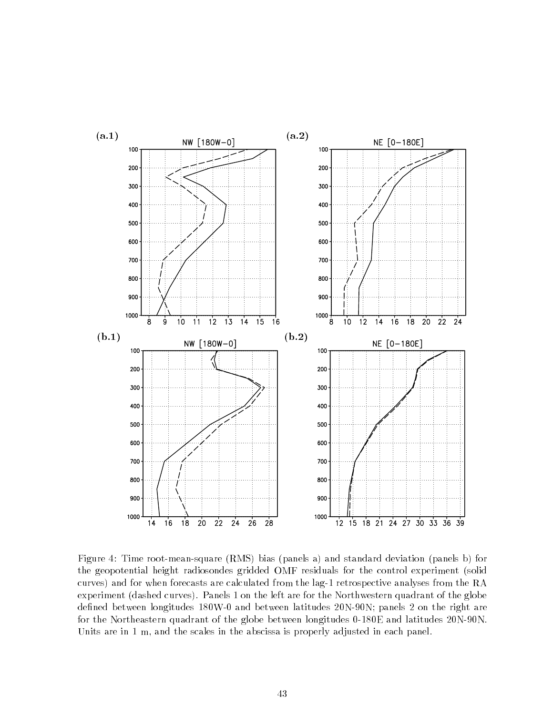

Figure 4: Time root-mean-square (RMS) bias (panels a) and standard deviation (panels b) for the geopotential height radiosondes gridded OMF residuals for the control experiment (solid curves) and for when forecasts are calculated from the lag-1 retrospective analyses from the RA experiment (dashed curves). Panels 1 on the left are for the Northwestern quadrant of the globe defined between longitudes 180W-0 and between latitudes 20N-90N; panels 2 on the right are for the Northeastern quadrant of the globe between longitudes 0-180E and latitudes 20N-90N. Units are in 1 m, and the scales in the abscissa is properly adjusted in each panel.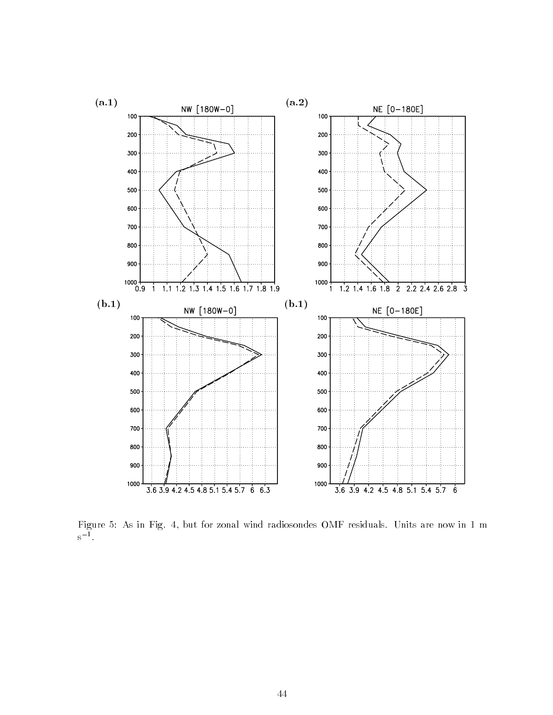

 $F_A$  in Fig. 4, but for  $A$  in Fig. 4, but for zonal wind radiosondes  $F_A$  residuals. Units are now in  $1$ s1 .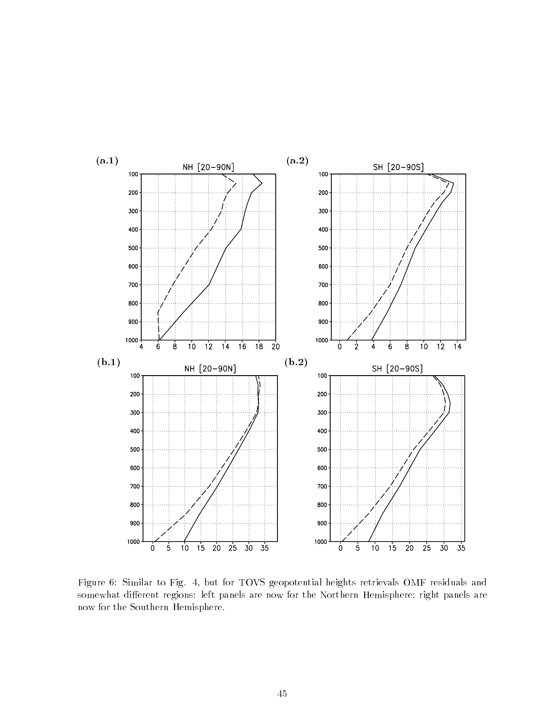

Figure 6: Similar to Fig. 4, but for TOVS geopotential heights retrievals OMF residuals and somewhat different regions: left panels are now for the Northern Hemisphere; right panels are now for the Southern Hemisphere.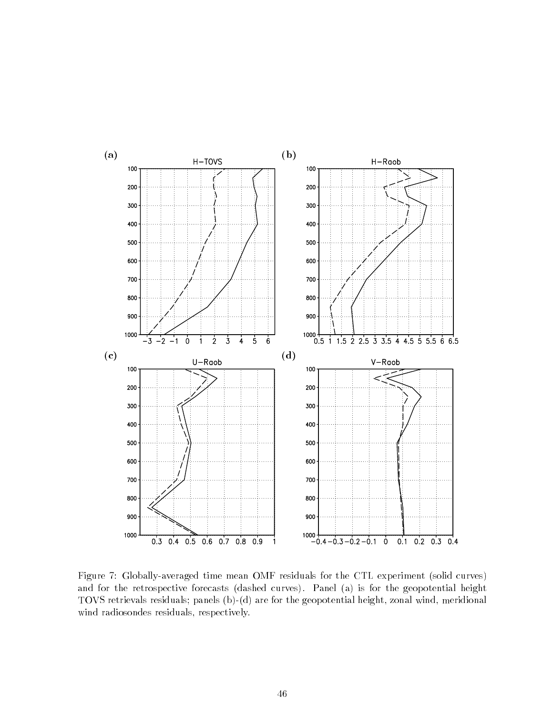

Figure 7: Globally-averaged time mean OMF residuals for the CTL experiment (solid curves) and for the retrospective forecasts (dashed curves). Panel (a) is for the geopotential height TOVS retrievals residuals; panels (b)-(d) are for the geopotential height, zonal wind, meridional wind radiosondes residuals, respectively.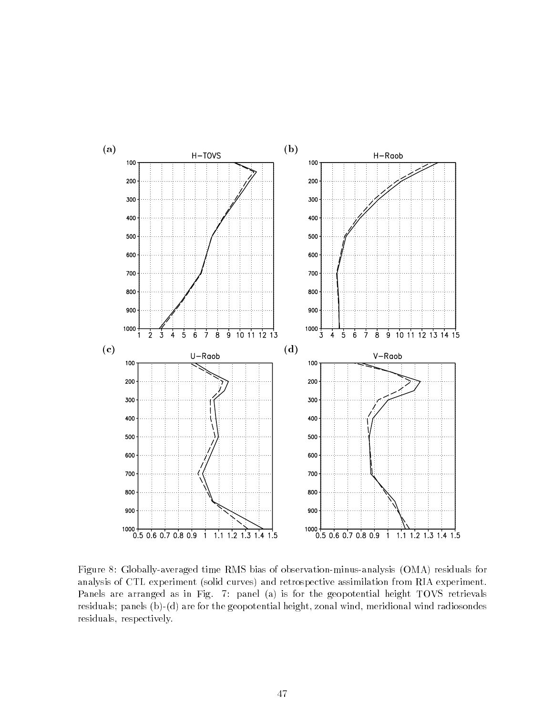

Figure 8: Globally-averaged time RMS bias of observation-minus-analysis (OMA) residuals for analysis of CTL experiment (solid curves) and retrospective assimilation from RIA experiment. Panels are arranged as in Fig. 7: panel (a) is for the geopotential height TOVS retrievals residuals; panels (b)-(d) are for the geopotential height, zonal wind, meridional wind radiosondes residuals, respectively.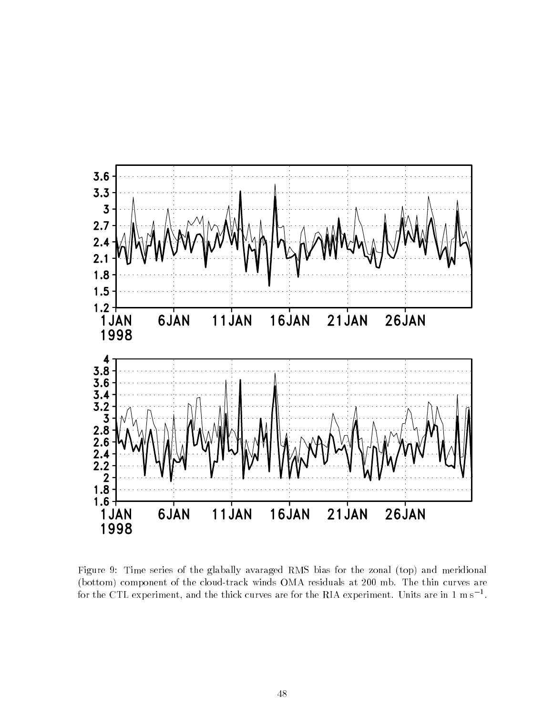

Figure 9: Time series of the glabally avaraged RMS bias for the zonal (top) and meridional (bottom) component of the cloud-track winds OMA residuals at 200 mb. The thin curves are for the CTL experiment, and the thick curves are for the KIA experiment. Units are in 1 m s  $^{-}.$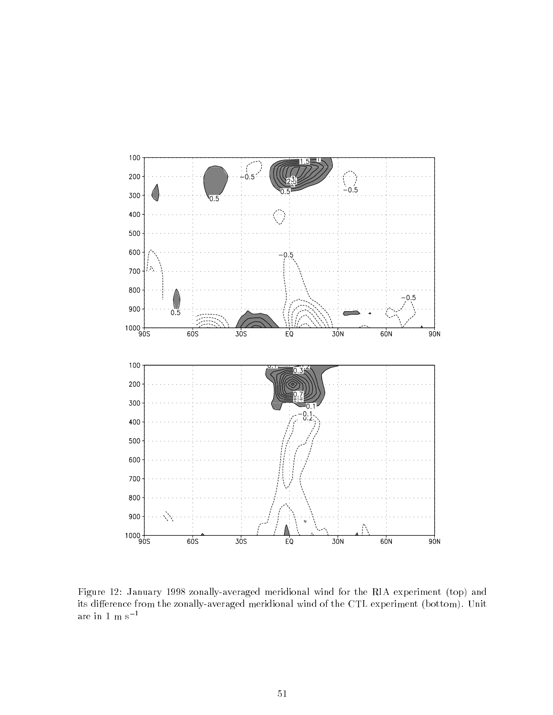

Figure 12: January 1998 zonally-averaged meridional wind for the RIA experiment (top) and its difference from the zonally-averaged meridional wind of the CTL experiment (bottom). Unit are in 1  $\rm m~s^{-1}$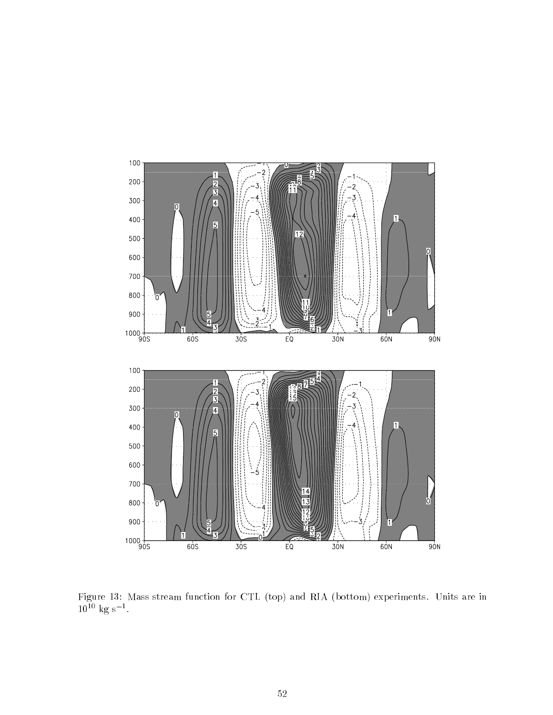

Figure 13: Mass stream function for CTL (top) and RIA (bottom) experiments. Units are in  $10^{-1}$  kg s  $^{-1}$ .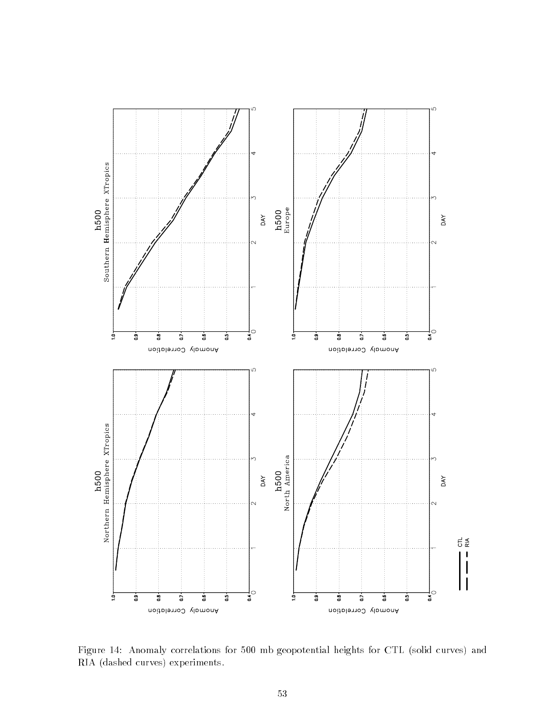

Figure 14: Anomaly correlations for 500 mb geopotential heights for CTL (solid curves) and RIA (dashed curves) experiments.